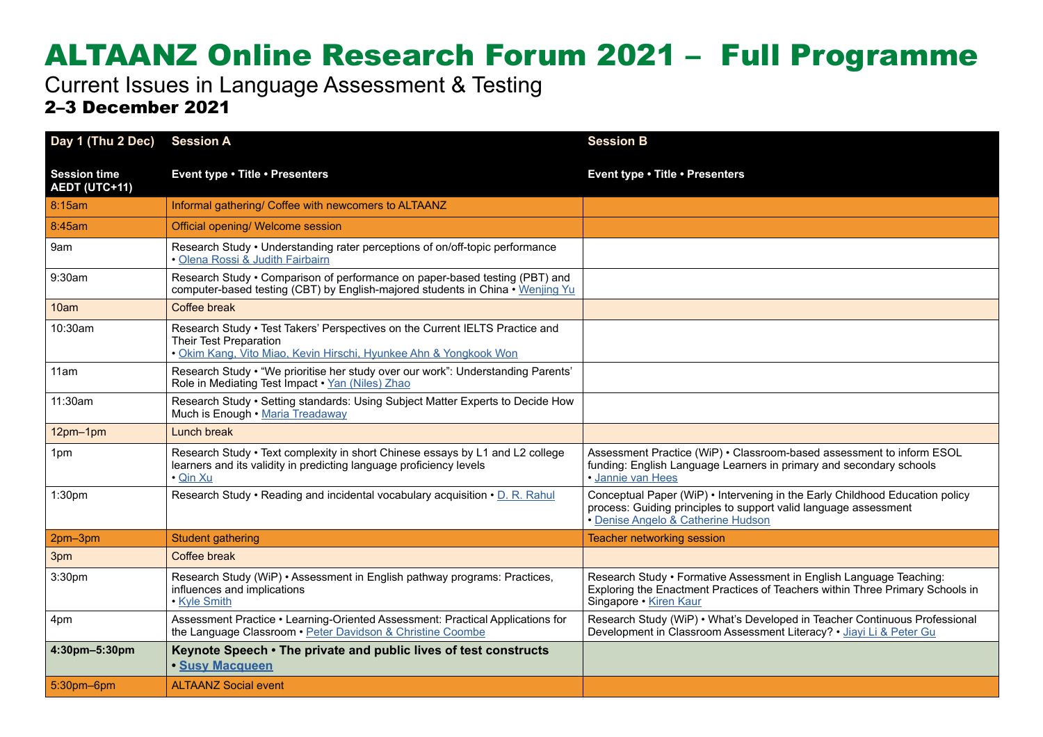## ALTAANZ Online Research Forum 2021 – Full Programme

Current Issues in Language Assessment & Testing 2–3 December 2021

| Day 1 (Thu 2 Dec)                           | <b>Session A</b>                                                                                                                                                            | <b>Session B</b>                                                                                                                                                                       |  |
|---------------------------------------------|-----------------------------------------------------------------------------------------------------------------------------------------------------------------------------|----------------------------------------------------------------------------------------------------------------------------------------------------------------------------------------|--|
| <b>Session time</b><br><b>AEDT (UTC+11)</b> | Event type . Title . Presenters                                                                                                                                             | Event type . Title . Presenters                                                                                                                                                        |  |
| 8:15am                                      | Informal gathering/ Coffee with newcomers to ALTAANZ                                                                                                                        |                                                                                                                                                                                        |  |
| 8:45am                                      | Official opening/ Welcome session                                                                                                                                           |                                                                                                                                                                                        |  |
| 9am                                         | Research Study • Understanding rater perceptions of on/off-topic performance<br>• Olena Rossi & Judith Fairbairn                                                            |                                                                                                                                                                                        |  |
| 9:30am                                      | Research Study • Comparison of performance on paper-based testing (PBT) and<br>computer-based testing (CBT) by English-majored students in China • Wenjing Yu               |                                                                                                                                                                                        |  |
| 10am                                        | Coffee break                                                                                                                                                                |                                                                                                                                                                                        |  |
| 10:30am                                     | Research Study . Test Takers' Perspectives on the Current IELTS Practice and<br>Their Test Preparation<br>· Okim Kang, Vito Miao, Kevin Hirschi, Hyunkee Ahn & Yongkook Won |                                                                                                                                                                                        |  |
| 11am                                        | Research Study • "We prioritise her study over our work": Understanding Parents'<br>Role in Mediating Test Impact • Yan (Niles) Zhao                                        |                                                                                                                                                                                        |  |
| 11:30am                                     | Research Study • Setting standards: Using Subject Matter Experts to Decide How<br>Much is Enough • Maria Treadaway                                                          |                                                                                                                                                                                        |  |
| 12pm-1pm                                    | Lunch break                                                                                                                                                                 |                                                                                                                                                                                        |  |
| 1pm                                         | Research Study • Text complexity in short Chinese essays by L1 and L2 college<br>learners and its validity in predicting language proficiency levels<br>· Qin Xu            | Assessment Practice (WiP) . Classroom-based assessment to inform ESOL<br>funding: English Language Learners in primary and secondary schools<br>• Jannie van Hees                      |  |
| 1:30pm                                      | Research Study • Reading and incidental vocabulary acquisition • D. R. Rahul                                                                                                | Conceptual Paper (WiP) • Intervening in the Early Childhood Education policy<br>process: Guiding principles to support valid language assessment<br>• Denise Angelo & Catherine Hudson |  |
| 2pm-3pm                                     | <b>Student gathering</b>                                                                                                                                                    | <b>Teacher networking session</b>                                                                                                                                                      |  |
| 3pm                                         | Coffee break                                                                                                                                                                |                                                                                                                                                                                        |  |
| 3:30pm                                      | Research Study (WiP) · Assessment in English pathway programs: Practices,<br>influences and implications<br>• Kyle Smith                                                    | Research Study • Formative Assessment in English Language Teaching:<br>Exploring the Enactment Practices of Teachers within Three Primary Schools in<br>Singapore • Kiren Kaur         |  |
| 4pm                                         | Assessment Practice • Learning-Oriented Assessment: Practical Applications for<br>the Language Classroom . Peter Davidson & Christine Coombe                                | Research Study (WiP) • What's Developed in Teacher Continuous Professional<br>Development in Classroom Assessment Literacy? • Jiavi Li & Peter Gu                                      |  |
| 4:30pm-5:30pm                               | Keynote Speech • The private and public lives of test constructs<br>· Susy Macqueen                                                                                         |                                                                                                                                                                                        |  |
| 5:30pm-6pm                                  | <b>ALTAANZ Social event</b>                                                                                                                                                 |                                                                                                                                                                                        |  |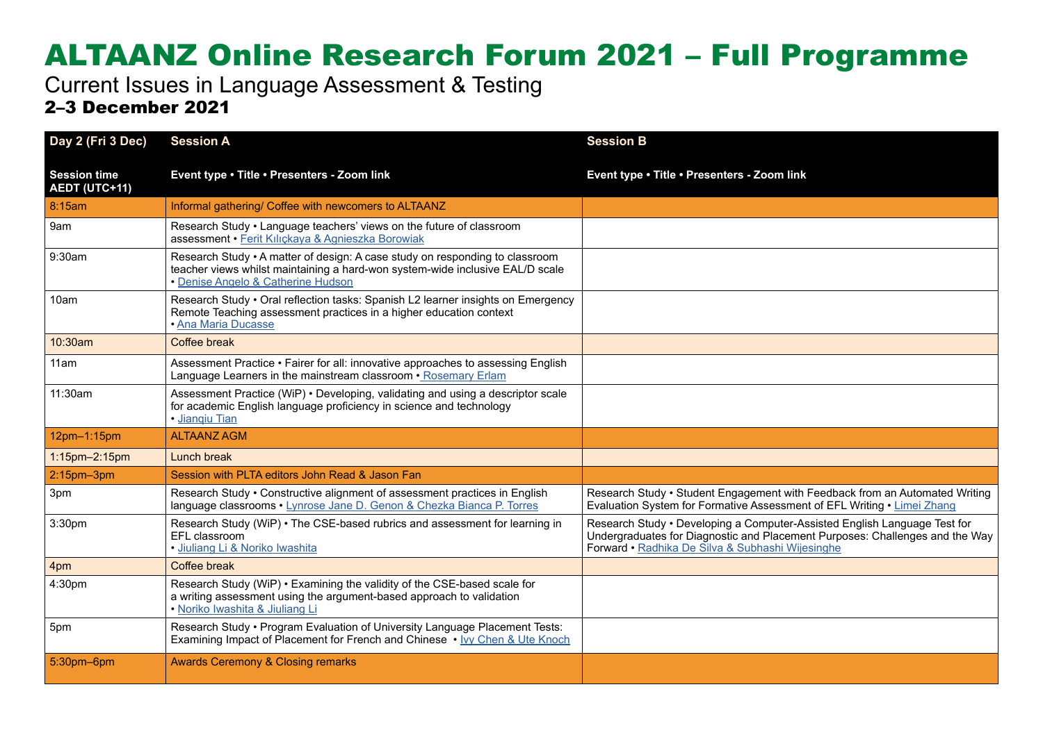## ALTAANZ Online Research Forum 2021 – Full Programme

Current Issues in Language Assessment & Testing 2–3 December 2021

| Day 2 (Fri 3 Dec)                    | <b>Session A</b>                                                                                                                                                                                    | <b>Session B</b>                                                                                                                                                                                              |  |
|--------------------------------------|-----------------------------------------------------------------------------------------------------------------------------------------------------------------------------------------------------|---------------------------------------------------------------------------------------------------------------------------------------------------------------------------------------------------------------|--|
| <b>Session time</b><br>AEDT (UTC+11) | Event type . Title . Presenters - Zoom link                                                                                                                                                         | Event type . Title . Presenters - Zoom link                                                                                                                                                                   |  |
| 8:15am                               | Informal gathering/ Coffee with newcomers to ALTAANZ                                                                                                                                                |                                                                                                                                                                                                               |  |
| 9am                                  | Research Study • Language teachers' views on the future of classroom<br>assessment · Ferit Kılıckaya & Agnieszka Borowiak                                                                           |                                                                                                                                                                                                               |  |
| 9:30am                               | Research Study • A matter of design: A case study on responding to classroom<br>teacher views whilst maintaining a hard-won system-wide inclusive EAL/D scale<br>• Denise Angelo & Catherine Hudson |                                                                                                                                                                                                               |  |
| 10am                                 | Research Study • Oral reflection tasks: Spanish L2 learner insights on Emergency<br>Remote Teaching assessment practices in a higher education context<br><b>Ana Maria Ducasse</b>                  |                                                                                                                                                                                                               |  |
| 10:30am                              | Coffee break                                                                                                                                                                                        |                                                                                                                                                                                                               |  |
| 11am                                 | Assessment Practice • Fairer for all: innovative approaches to assessing English<br>Language Learners in the mainstream classroom • Rosemary Erlam                                                  |                                                                                                                                                                                                               |  |
| 11:30am                              | Assessment Practice (WiP) • Developing, validating and using a descriptor scale<br>for academic English language proficiency in science and technology<br>· Jiangiu Tian                            |                                                                                                                                                                                                               |  |
| 12pm-1:15pm                          | <b>ALTAANZ AGM</b>                                                                                                                                                                                  |                                                                                                                                                                                                               |  |
| 1:15pm-2:15pm                        | Lunch break                                                                                                                                                                                         |                                                                                                                                                                                                               |  |
| $2:15$ pm $-3$ pm                    | Session with PLTA editors John Read & Jason Fan                                                                                                                                                     |                                                                                                                                                                                                               |  |
| 3pm                                  | Research Study • Constructive alignment of assessment practices in English<br>language classrooms • Lynrose Jane D. Genon & Chezka Bianca P. Torres                                                 | Research Study • Student Engagement with Feedback from an Automated Writing<br>Evaluation System for Formative Assessment of EFL Writing . Limei Zhang                                                        |  |
| 3:30pm                               | Research Study (WiP) • The CSE-based rubrics and assessment for learning in<br>EFL classroom<br>· Jiuliang Li & Noriko Iwashita                                                                     | Research Study • Developing a Computer-Assisted English Language Test for<br>Undergraduates for Diagnostic and Placement Purposes: Challenges and the Way<br>Forward • Radhika De Silva & Subhashi Wijesinghe |  |
| 4pm                                  | Coffee break                                                                                                                                                                                        |                                                                                                                                                                                                               |  |
| 4:30pm                               | Research Study (WiP) . Examining the validity of the CSE-based scale for<br>a writing assessment using the argument-based approach to validation<br>· Noriko Iwashita & Jiuliang Li                 |                                                                                                                                                                                                               |  |
| 5pm                                  | Research Study • Program Evaluation of University Language Placement Tests:<br>Examining Impact of Placement for French and Chinese • Ivy Chen & Ute Knoch                                          |                                                                                                                                                                                                               |  |
| 5:30pm-6pm                           | <b>Awards Ceremony &amp; Closing remarks</b>                                                                                                                                                        |                                                                                                                                                                                                               |  |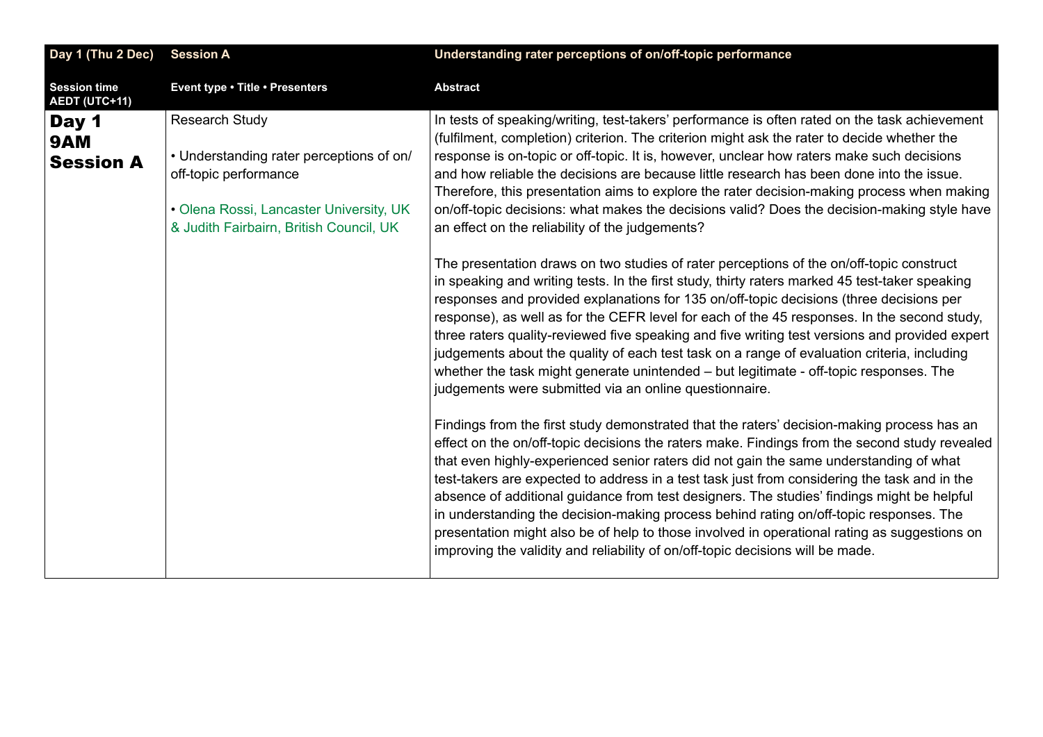<span id="page-2-0"></span>

| Day 1 (Thu 2 Dec)                    | <b>Session A</b>                                                                                                                                                          | Understanding rater perceptions of on/off-topic performance                                                                                                                                                                                                                                                                                                                                                                                                                                                                                                                                                                                                                                                                                                     |
|--------------------------------------|---------------------------------------------------------------------------------------------------------------------------------------------------------------------------|-----------------------------------------------------------------------------------------------------------------------------------------------------------------------------------------------------------------------------------------------------------------------------------------------------------------------------------------------------------------------------------------------------------------------------------------------------------------------------------------------------------------------------------------------------------------------------------------------------------------------------------------------------------------------------------------------------------------------------------------------------------------|
| <b>Session time</b><br>AEDT (UTC+11) | Event type . Title . Presenters                                                                                                                                           | <b>Abstract</b>                                                                                                                                                                                                                                                                                                                                                                                                                                                                                                                                                                                                                                                                                                                                                 |
| Day 1<br>9AM<br><b>Session A</b>     | Research Study<br>• Understanding rater perceptions of on/<br>off-topic performance<br>• Olena Rossi, Lancaster University, UK<br>& Judith Fairbairn, British Council, UK | In tests of speaking/writing, test-takers' performance is often rated on the task achievement<br>(fulfilment, completion) criterion. The criterion might ask the rater to decide whether the<br>response is on-topic or off-topic. It is, however, unclear how raters make such decisions<br>and how reliable the decisions are because little research has been done into the issue.<br>Therefore, this presentation aims to explore the rater decision-making process when making<br>on/off-topic decisions: what makes the decisions valid? Does the decision-making style have<br>an effect on the reliability of the judgements?                                                                                                                           |
|                                      |                                                                                                                                                                           | The presentation draws on two studies of rater perceptions of the on/off-topic construct<br>in speaking and writing tests. In the first study, thirty raters marked 45 test-taker speaking<br>responses and provided explanations for 135 on/off-topic decisions (three decisions per<br>response), as well as for the CEFR level for each of the 45 responses. In the second study,<br>three raters quality-reviewed five speaking and five writing test versions and provided expert<br>judgements about the quality of each test task on a range of evaluation criteria, including<br>whether the task might generate unintended – but legitimate - off-topic responses. The<br>judgements were submitted via an online questionnaire.                       |
|                                      |                                                                                                                                                                           | Findings from the first study demonstrated that the raters' decision-making process has an<br>effect on the on/off-topic decisions the raters make. Findings from the second study revealed<br>that even highly-experienced senior raters did not gain the same understanding of what<br>test-takers are expected to address in a test task just from considering the task and in the<br>absence of additional guidance from test designers. The studies' findings might be helpful<br>in understanding the decision-making process behind rating on/off-topic responses. The<br>presentation might also be of help to those involved in operational rating as suggestions on<br>improving the validity and reliability of on/off-topic decisions will be made. |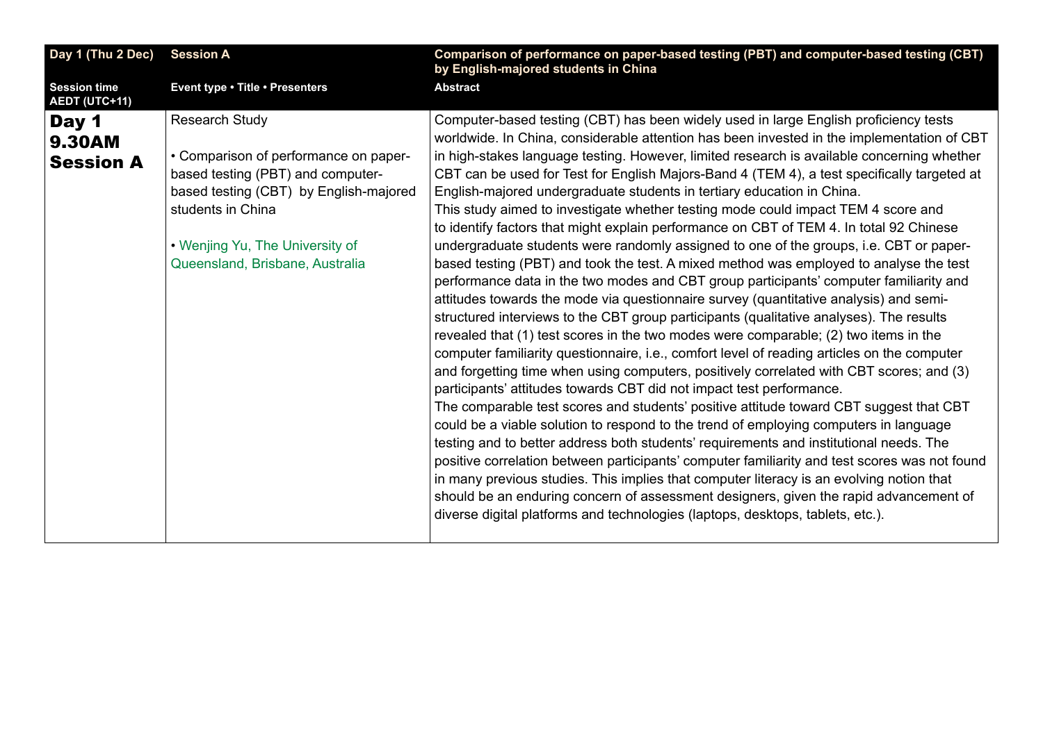<span id="page-3-0"></span>

| Day 1 (Thu 2 Dec)                           | <b>Session A</b>                                                                                                                                                                                                                  | Comparison of performance on paper-based testing (PBT) and computer-based testing (CBT)<br>by English-majored students in China                                                                                                                                                                                                                                                                                                                                                                                                                                                                                                                                                                                                                                                                                                                                                                                                                                                                                                                                                                                                                                                                                                                                                                                                                                                                                                                                                                                                                                                                                                                                                                                                                                                                                                                                                                                                                                                                                                                                                                                             |
|---------------------------------------------|-----------------------------------------------------------------------------------------------------------------------------------------------------------------------------------------------------------------------------------|-----------------------------------------------------------------------------------------------------------------------------------------------------------------------------------------------------------------------------------------------------------------------------------------------------------------------------------------------------------------------------------------------------------------------------------------------------------------------------------------------------------------------------------------------------------------------------------------------------------------------------------------------------------------------------------------------------------------------------------------------------------------------------------------------------------------------------------------------------------------------------------------------------------------------------------------------------------------------------------------------------------------------------------------------------------------------------------------------------------------------------------------------------------------------------------------------------------------------------------------------------------------------------------------------------------------------------------------------------------------------------------------------------------------------------------------------------------------------------------------------------------------------------------------------------------------------------------------------------------------------------------------------------------------------------------------------------------------------------------------------------------------------------------------------------------------------------------------------------------------------------------------------------------------------------------------------------------------------------------------------------------------------------------------------------------------------------------------------------------------------------|
| <b>Session time</b><br><b>AEDT (UTC+11)</b> | Event type . Title . Presenters                                                                                                                                                                                                   | <b>Abstract</b>                                                                                                                                                                                                                                                                                                                                                                                                                                                                                                                                                                                                                                                                                                                                                                                                                                                                                                                                                                                                                                                                                                                                                                                                                                                                                                                                                                                                                                                                                                                                                                                                                                                                                                                                                                                                                                                                                                                                                                                                                                                                                                             |
| Day 1<br><b>9.30AM</b><br><b>Session A</b>  | Research Study<br>• Comparison of performance on paper-<br>based testing (PBT) and computer-<br>based testing (CBT) by English-majored<br>students in China<br>• Wenjing Yu, The University of<br>Queensland, Brisbane, Australia | Computer-based testing (CBT) has been widely used in large English proficiency tests<br>worldwide. In China, considerable attention has been invested in the implementation of CBT<br>in high-stakes language testing. However, limited research is available concerning whether<br>CBT can be used for Test for English Majors-Band 4 (TEM 4), a test specifically targeted at<br>English-majored undergraduate students in tertiary education in China.<br>This study aimed to investigate whether testing mode could impact TEM 4 score and<br>to identify factors that might explain performance on CBT of TEM 4. In total 92 Chinese<br>undergraduate students were randomly assigned to one of the groups, i.e. CBT or paper-<br>based testing (PBT) and took the test. A mixed method was employed to analyse the test<br>performance data in the two modes and CBT group participants' computer familiarity and<br>attitudes towards the mode via questionnaire survey (quantitative analysis) and semi-<br>structured interviews to the CBT group participants (qualitative analyses). The results<br>revealed that (1) test scores in the two modes were comparable; (2) two items in the<br>computer familiarity questionnaire, i.e., comfort level of reading articles on the computer<br>and forgetting time when using computers, positively correlated with CBT scores; and (3)<br>participants' attitudes towards CBT did not impact test performance.<br>The comparable test scores and students' positive attitude toward CBT suggest that CBT<br>could be a viable solution to respond to the trend of employing computers in language<br>testing and to better address both students' requirements and institutional needs. The<br>positive correlation between participants' computer familiarity and test scores was not found<br>in many previous studies. This implies that computer literacy is an evolving notion that<br>should be an enduring concern of assessment designers, given the rapid advancement of<br>diverse digital platforms and technologies (laptops, desktops, tablets, etc.). |
|                                             |                                                                                                                                                                                                                                   |                                                                                                                                                                                                                                                                                                                                                                                                                                                                                                                                                                                                                                                                                                                                                                                                                                                                                                                                                                                                                                                                                                                                                                                                                                                                                                                                                                                                                                                                                                                                                                                                                                                                                                                                                                                                                                                                                                                                                                                                                                                                                                                             |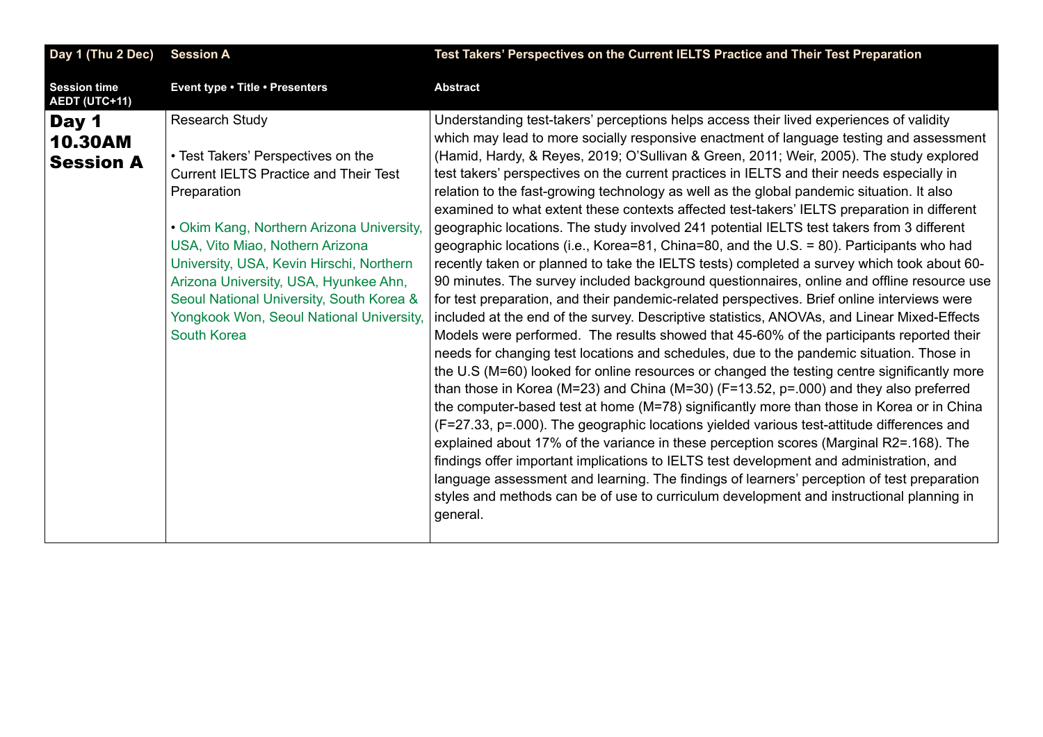<span id="page-4-0"></span>

| Day 1 (Thu 2 Dec)                           | <b>Session A</b>                                                                                                                                                                                                                                                                                                                                                                                       | Test Takers' Perspectives on the Current IELTS Practice and Their Test Preparation                                                                                                                                                                                                                                                                                                                                                                                                                                                                                                                                                                                                                                                                                                                                                                                                                                                                                                                                                                                                                                                                                                                                                                                                                                                                                                                                                                                                                                                                                                                                                                                                                                                                                                                                                                                                                                                                                                                                                                                                                                               |
|---------------------------------------------|--------------------------------------------------------------------------------------------------------------------------------------------------------------------------------------------------------------------------------------------------------------------------------------------------------------------------------------------------------------------------------------------------------|----------------------------------------------------------------------------------------------------------------------------------------------------------------------------------------------------------------------------------------------------------------------------------------------------------------------------------------------------------------------------------------------------------------------------------------------------------------------------------------------------------------------------------------------------------------------------------------------------------------------------------------------------------------------------------------------------------------------------------------------------------------------------------------------------------------------------------------------------------------------------------------------------------------------------------------------------------------------------------------------------------------------------------------------------------------------------------------------------------------------------------------------------------------------------------------------------------------------------------------------------------------------------------------------------------------------------------------------------------------------------------------------------------------------------------------------------------------------------------------------------------------------------------------------------------------------------------------------------------------------------------------------------------------------------------------------------------------------------------------------------------------------------------------------------------------------------------------------------------------------------------------------------------------------------------------------------------------------------------------------------------------------------------------------------------------------------------------------------------------------------------|
| <b>Session time</b><br>AEDT (UTC+11)        | Event type . Title . Presenters                                                                                                                                                                                                                                                                                                                                                                        | <b>Abstract</b>                                                                                                                                                                                                                                                                                                                                                                                                                                                                                                                                                                                                                                                                                                                                                                                                                                                                                                                                                                                                                                                                                                                                                                                                                                                                                                                                                                                                                                                                                                                                                                                                                                                                                                                                                                                                                                                                                                                                                                                                                                                                                                                  |
| Day 1<br><b>10.30AM</b><br><b>Session A</b> | <b>Research Study</b><br>• Test Takers' Perspectives on the<br><b>Current IELTS Practice and Their Test</b><br>Preparation<br>• Okim Kang, Northern Arizona University,<br>USA, Vito Miao, Nothern Arizona<br>University, USA, Kevin Hirschi, Northern<br>Arizona University, USA, Hyunkee Ahn,<br>Seoul National University, South Korea &<br>Yongkook Won, Seoul National University,<br>South Korea | Understanding test-takers' perceptions helps access their lived experiences of validity<br>which may lead to more socially responsive enactment of language testing and assessment<br>(Hamid, Hardy, & Reyes, 2019; O'Sullivan & Green, 2011; Weir, 2005). The study explored<br>test takers' perspectives on the current practices in IELTS and their needs especially in<br>relation to the fast-growing technology as well as the global pandemic situation. It also<br>examined to what extent these contexts affected test-takers' IELTS preparation in different<br>geographic locations. The study involved 241 potential IELTS test takers from 3 different<br>geographic locations (i.e., Korea=81, China=80, and the U.S. = 80). Participants who had<br>recently taken or planned to take the IELTS tests) completed a survey which took about 60-<br>90 minutes. The survey included background questionnaires, online and offline resource use<br>for test preparation, and their pandemic-related perspectives. Brief online interviews were<br>included at the end of the survey. Descriptive statistics, ANOVAs, and Linear Mixed-Effects<br>Models were performed. The results showed that 45-60% of the participants reported their<br>needs for changing test locations and schedules, due to the pandemic situation. Those in<br>the U.S (M=60) looked for online resources or changed the testing centre significantly more<br>than those in Korea (M=23) and China (M=30) (F=13.52, $p=000$ ) and they also preferred<br>the computer-based test at home (M=78) significantly more than those in Korea or in China<br>(F=27.33, p=.000). The geographic locations yielded various test-attitude differences and<br>explained about 17% of the variance in these perception scores (Marginal R2=.168). The<br>findings offer important implications to IELTS test development and administration, and<br>language assessment and learning. The findings of learners' perception of test preparation<br>styles and methods can be of use to curriculum development and instructional planning in<br>general. |
|                                             |                                                                                                                                                                                                                                                                                                                                                                                                        |                                                                                                                                                                                                                                                                                                                                                                                                                                                                                                                                                                                                                                                                                                                                                                                                                                                                                                                                                                                                                                                                                                                                                                                                                                                                                                                                                                                                                                                                                                                                                                                                                                                                                                                                                                                                                                                                                                                                                                                                                                                                                                                                  |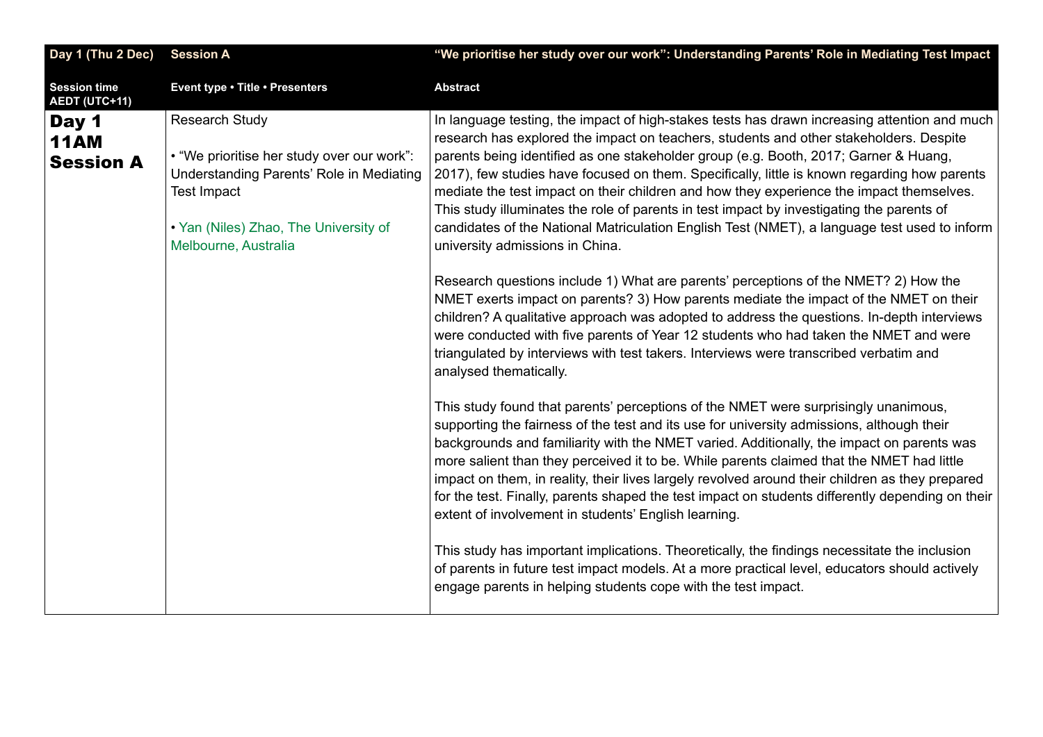<span id="page-5-0"></span>

| Day 1 (Thu 2 Dec)                        | <b>Session A</b>                                                                                                                                                                                       | "We prioritise her study over our work": Understanding Parents' Role in Mediating Test Impact                                                                                                                                                                                                                                                                                                                                                                                                                                                                                                                                                                                                              |
|------------------------------------------|--------------------------------------------------------------------------------------------------------------------------------------------------------------------------------------------------------|------------------------------------------------------------------------------------------------------------------------------------------------------------------------------------------------------------------------------------------------------------------------------------------------------------------------------------------------------------------------------------------------------------------------------------------------------------------------------------------------------------------------------------------------------------------------------------------------------------------------------------------------------------------------------------------------------------|
| <b>Session time</b><br>AEDT (UTC+11)     | Event type . Title . Presenters                                                                                                                                                                        | <b>Abstract</b>                                                                                                                                                                                                                                                                                                                                                                                                                                                                                                                                                                                                                                                                                            |
| Day 1<br><b>11AM</b><br><b>Session A</b> | <b>Research Study</b><br>• "We prioritise her study over our work":<br>Understanding Parents' Role in Mediating<br><b>Test Impact</b><br>. Yan (Niles) Zhao, The University of<br>Melbourne, Australia | In language testing, the impact of high-stakes tests has drawn increasing attention and much<br>research has explored the impact on teachers, students and other stakeholders. Despite<br>parents being identified as one stakeholder group (e.g. Booth, 2017; Garner & Huang,<br>2017), few studies have focused on them. Specifically, little is known regarding how parents<br>mediate the test impact on their children and how they experience the impact themselves.<br>This study illuminates the role of parents in test impact by investigating the parents of<br>candidates of the National Matriculation English Test (NMET), a language test used to inform<br>university admissions in China. |
|                                          |                                                                                                                                                                                                        | Research questions include 1) What are parents' perceptions of the NMET? 2) How the<br>NMET exerts impact on parents? 3) How parents mediate the impact of the NMET on their<br>children? A qualitative approach was adopted to address the questions. In-depth interviews<br>were conducted with five parents of Year 12 students who had taken the NMET and were<br>triangulated by interviews with test takers. Interviews were transcribed verbatim and<br>analysed thematically.                                                                                                                                                                                                                      |
|                                          |                                                                                                                                                                                                        | This study found that parents' perceptions of the NMET were surprisingly unanimous,<br>supporting the fairness of the test and its use for university admissions, although their<br>backgrounds and familiarity with the NMET varied. Additionally, the impact on parents was<br>more salient than they perceived it to be. While parents claimed that the NMET had little<br>impact on them, in reality, their lives largely revolved around their children as they prepared<br>for the test. Finally, parents shaped the test impact on students differently depending on their<br>extent of involvement in students' English learning.                                                                  |
|                                          |                                                                                                                                                                                                        | This study has important implications. Theoretically, the findings necessitate the inclusion<br>of parents in future test impact models. At a more practical level, educators should actively<br>engage parents in helping students cope with the test impact.                                                                                                                                                                                                                                                                                                                                                                                                                                             |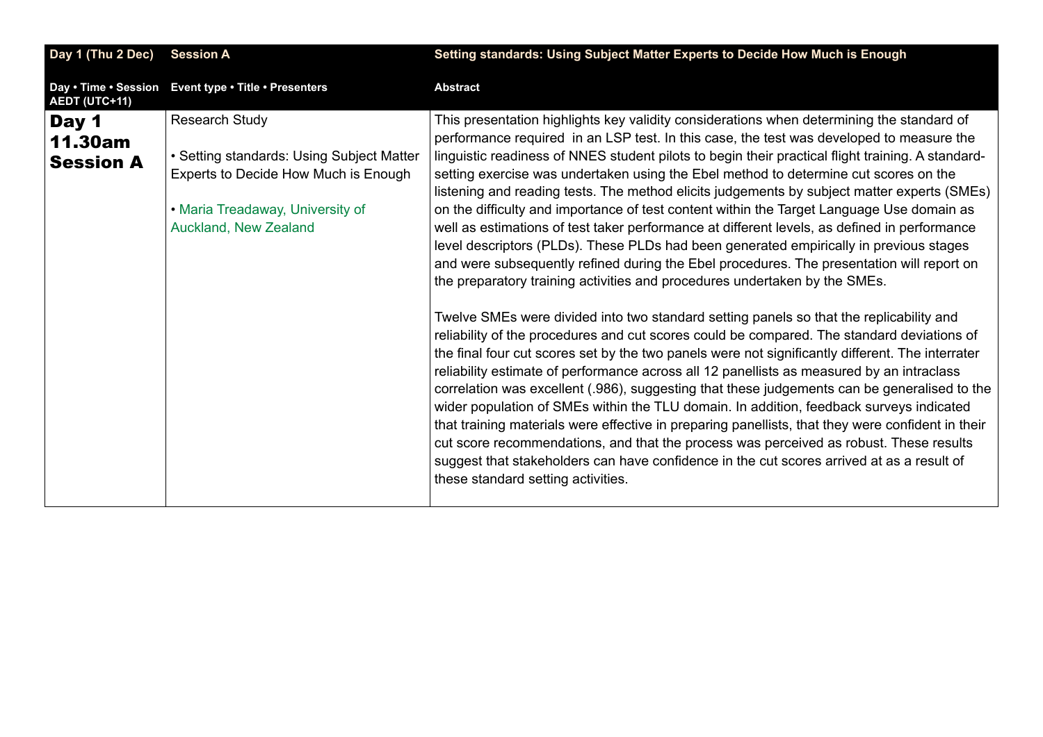<span id="page-6-0"></span>

| Day 1 (Thu 2 Dec)                           | <b>Session A</b>                                                                                                                                                        | Setting standards: Using Subject Matter Experts to Decide How Much is Enough                                                                                                                                                                                                                                                                                                                                                                                                                                                                                                                                                                                                                                                                                                                                                                                                                                                                        |
|---------------------------------------------|-------------------------------------------------------------------------------------------------------------------------------------------------------------------------|-----------------------------------------------------------------------------------------------------------------------------------------------------------------------------------------------------------------------------------------------------------------------------------------------------------------------------------------------------------------------------------------------------------------------------------------------------------------------------------------------------------------------------------------------------------------------------------------------------------------------------------------------------------------------------------------------------------------------------------------------------------------------------------------------------------------------------------------------------------------------------------------------------------------------------------------------------|
| Day • Time • Session<br>AEDT (UTC+11)       | Event type . Title . Presenters                                                                                                                                         | <b>Abstract</b>                                                                                                                                                                                                                                                                                                                                                                                                                                                                                                                                                                                                                                                                                                                                                                                                                                                                                                                                     |
| Day 1<br><b>11.30am</b><br><b>Session A</b> | <b>Research Study</b><br>• Setting standards: Using Subject Matter<br>Experts to Decide How Much is Enough<br>• Maria Treadaway, University of<br>Auckland, New Zealand | This presentation highlights key validity considerations when determining the standard of<br>performance required in an LSP test. In this case, the test was developed to measure the<br>linguistic readiness of NNES student pilots to begin their practical flight training. A standard-<br>setting exercise was undertaken using the Ebel method to determine cut scores on the<br>listening and reading tests. The method elicits judgements by subject matter experts (SMEs)<br>on the difficulty and importance of test content within the Target Language Use domain as<br>well as estimations of test taker performance at different levels, as defined in performance<br>level descriptors (PLDs). These PLDs had been generated empirically in previous stages<br>and were subsequently refined during the Ebel procedures. The presentation will report on<br>the preparatory training activities and procedures undertaken by the SMEs. |
|                                             |                                                                                                                                                                         | Twelve SMEs were divided into two standard setting panels so that the replicability and<br>reliability of the procedures and cut scores could be compared. The standard deviations of<br>the final four cut scores set by the two panels were not significantly different. The interrater<br>reliability estimate of performance across all 12 panellists as measured by an intraclass<br>correlation was excellent (.986), suggesting that these judgements can be generalised to the<br>wider population of SMEs within the TLU domain. In addition, feedback surveys indicated<br>that training materials were effective in preparing panellists, that they were confident in their<br>cut score recommendations, and that the process was perceived as robust. These results<br>suggest that stakeholders can have confidence in the cut scores arrived at as a result of<br>these standard setting activities.                                 |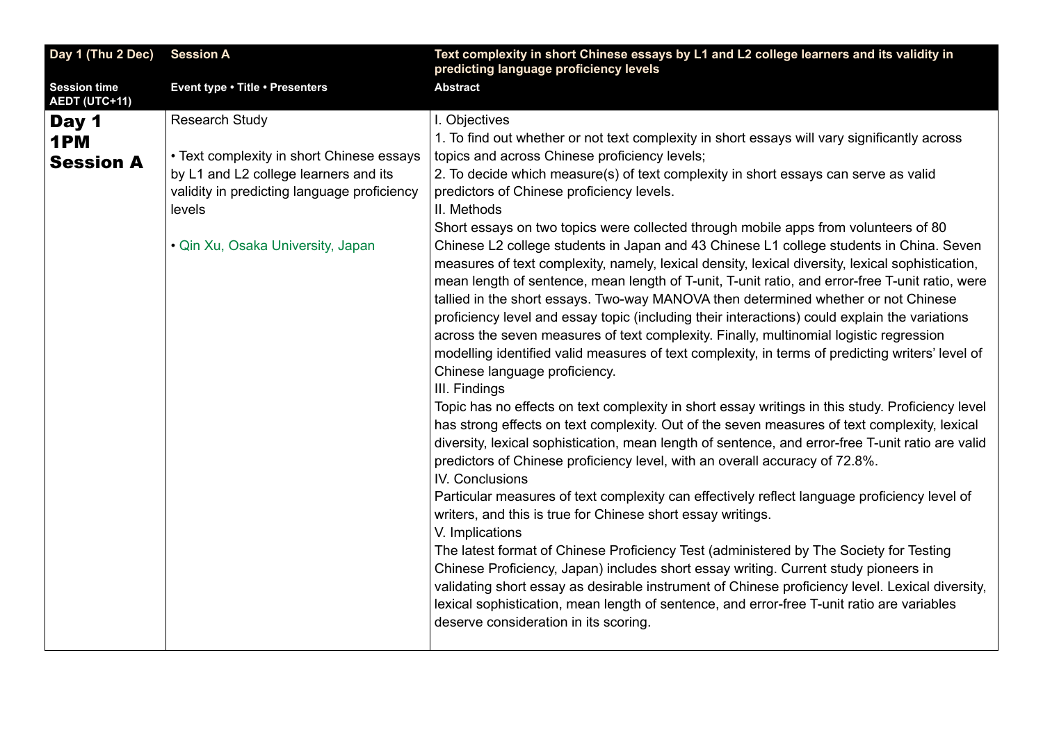<span id="page-7-0"></span>

| Day 1 (Thu 2 Dec)                    | <b>Session A</b>                            | Text complexity in short Chinese essays by L1 and L2 college learners and its validity in                                                                                                                                                                                                                                                                                                                                                                                                                                                                                                                                                                                                                                                                                                                                                                                                                                                                                                                                        |
|--------------------------------------|---------------------------------------------|----------------------------------------------------------------------------------------------------------------------------------------------------------------------------------------------------------------------------------------------------------------------------------------------------------------------------------------------------------------------------------------------------------------------------------------------------------------------------------------------------------------------------------------------------------------------------------------------------------------------------------------------------------------------------------------------------------------------------------------------------------------------------------------------------------------------------------------------------------------------------------------------------------------------------------------------------------------------------------------------------------------------------------|
|                                      |                                             | predicting language proficiency levels                                                                                                                                                                                                                                                                                                                                                                                                                                                                                                                                                                                                                                                                                                                                                                                                                                                                                                                                                                                           |
| <b>Session time</b><br>AEDT (UTC+11) | Event type . Title . Presenters             | <b>Abstract</b>                                                                                                                                                                                                                                                                                                                                                                                                                                                                                                                                                                                                                                                                                                                                                                                                                                                                                                                                                                                                                  |
| Day 1                                | <b>Research Study</b>                       | I. Objectives                                                                                                                                                                                                                                                                                                                                                                                                                                                                                                                                                                                                                                                                                                                                                                                                                                                                                                                                                                                                                    |
| 1PM                                  |                                             | 1. To find out whether or not text complexity in short essays will vary significantly across                                                                                                                                                                                                                                                                                                                                                                                                                                                                                                                                                                                                                                                                                                                                                                                                                                                                                                                                     |
| <b>Session A</b>                     | • Text complexity in short Chinese essays   | topics and across Chinese proficiency levels;                                                                                                                                                                                                                                                                                                                                                                                                                                                                                                                                                                                                                                                                                                                                                                                                                                                                                                                                                                                    |
|                                      | by L1 and L2 college learners and its       | 2. To decide which measure(s) of text complexity in short essays can serve as valid                                                                                                                                                                                                                                                                                                                                                                                                                                                                                                                                                                                                                                                                                                                                                                                                                                                                                                                                              |
|                                      | validity in predicting language proficiency | predictors of Chinese proficiency levels.<br>II. Methods                                                                                                                                                                                                                                                                                                                                                                                                                                                                                                                                                                                                                                                                                                                                                                                                                                                                                                                                                                         |
|                                      | levels                                      |                                                                                                                                                                                                                                                                                                                                                                                                                                                                                                                                                                                                                                                                                                                                                                                                                                                                                                                                                                                                                                  |
|                                      | • Qin Xu, Osaka University, Japan           | Short essays on two topics were collected through mobile apps from volunteers of 80<br>Chinese L2 college students in Japan and 43 Chinese L1 college students in China. Seven<br>measures of text complexity, namely, lexical density, lexical diversity, lexical sophistication,<br>mean length of sentence, mean length of T-unit, T-unit ratio, and error-free T-unit ratio, were<br>tallied in the short essays. Two-way MANOVA then determined whether or not Chinese<br>proficiency level and essay topic (including their interactions) could explain the variations<br>across the seven measures of text complexity. Finally, multinomial logistic regression<br>modelling identified valid measures of text complexity, in terms of predicting writers' level of<br>Chinese language proficiency.<br>III. Findings<br>Topic has no effects on text complexity in short essay writings in this study. Proficiency level<br>has strong effects on text complexity. Out of the seven measures of text complexity, lexical |
|                                      |                                             | diversity, lexical sophistication, mean length of sentence, and error-free T-unit ratio are valid<br>predictors of Chinese proficiency level, with an overall accuracy of 72.8%.<br>IV. Conclusions                                                                                                                                                                                                                                                                                                                                                                                                                                                                                                                                                                                                                                                                                                                                                                                                                              |
|                                      |                                             | Particular measures of text complexity can effectively reflect language proficiency level of<br>writers, and this is true for Chinese short essay writings.<br>V. Implications                                                                                                                                                                                                                                                                                                                                                                                                                                                                                                                                                                                                                                                                                                                                                                                                                                                   |
|                                      |                                             | The latest format of Chinese Proficiency Test (administered by The Society for Testing<br>Chinese Proficiency, Japan) includes short essay writing. Current study pioneers in<br>validating short essay as desirable instrument of Chinese proficiency level. Lexical diversity,<br>lexical sophistication, mean length of sentence, and error-free T-unit ratio are variables<br>deserve consideration in its scoring.                                                                                                                                                                                                                                                                                                                                                                                                                                                                                                                                                                                                          |
|                                      |                                             |                                                                                                                                                                                                                                                                                                                                                                                                                                                                                                                                                                                                                                                                                                                                                                                                                                                                                                                                                                                                                                  |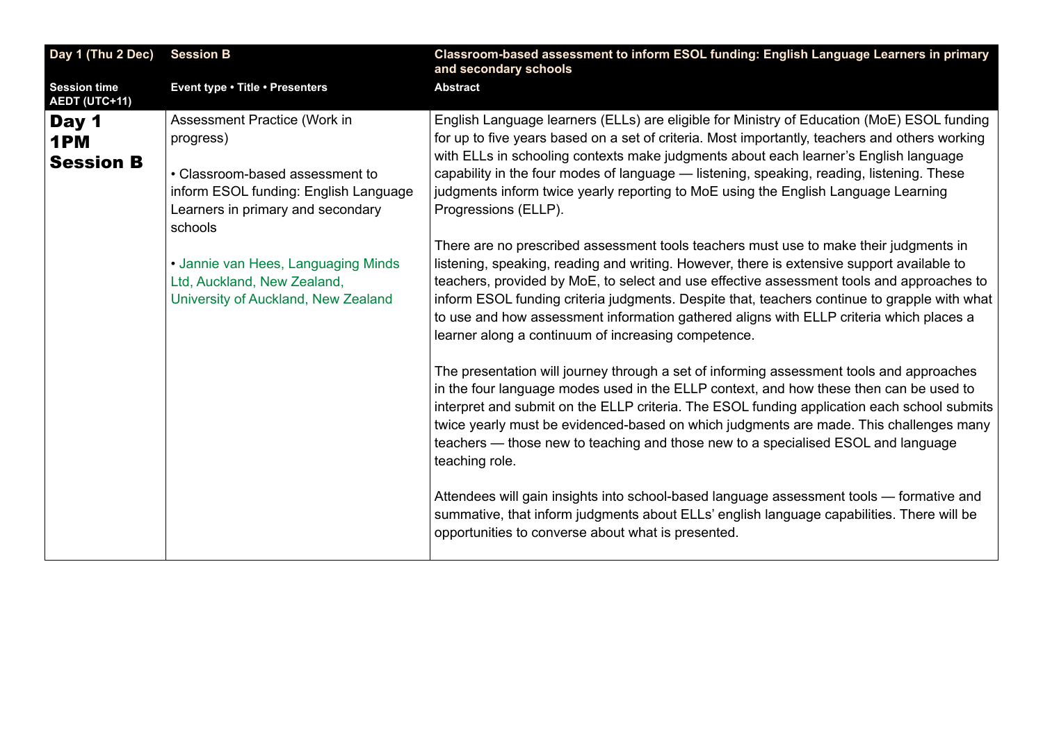<span id="page-8-0"></span>

| Day 1 (Thu 2 Dec)                    | <b>Session B</b>                                                                                                                                                      | Classroom-based assessment to inform ESOL funding: English Language Learners in primary<br>and secondary schools                                                                                                                                                                                                                                                                                                                                                                                                                   |
|--------------------------------------|-----------------------------------------------------------------------------------------------------------------------------------------------------------------------|------------------------------------------------------------------------------------------------------------------------------------------------------------------------------------------------------------------------------------------------------------------------------------------------------------------------------------------------------------------------------------------------------------------------------------------------------------------------------------------------------------------------------------|
| <b>Session time</b><br>AEDT (UTC+11) | Event type . Title . Presenters                                                                                                                                       | <b>Abstract</b>                                                                                                                                                                                                                                                                                                                                                                                                                                                                                                                    |
| Day 1<br>1PM<br><b>Session B</b>     | Assessment Practice (Work in<br>progress)<br>• Classroom-based assessment to<br>inform ESOL funding: English Language<br>Learners in primary and secondary<br>schools | English Language learners (ELLs) are eligible for Ministry of Education (MoE) ESOL funding<br>for up to five years based on a set of criteria. Most importantly, teachers and others working<br>with ELLs in schooling contexts make judgments about each learner's English language<br>capability in the four modes of language - listening, speaking, reading, listening. These<br>judgments inform twice yearly reporting to MoE using the English Language Learning<br>Progressions (ELLP).                                    |
|                                      | • Jannie van Hees, Languaging Minds<br>Ltd, Auckland, New Zealand,<br>University of Auckland, New Zealand                                                             | There are no prescribed assessment tools teachers must use to make their judgments in<br>listening, speaking, reading and writing. However, there is extensive support available to<br>teachers, provided by MoE, to select and use effective assessment tools and approaches to<br>inform ESOL funding criteria judgments. Despite that, teachers continue to grapple with what<br>to use and how assessment information gathered aligns with ELLP criteria which places a<br>learner along a continuum of increasing competence. |
|                                      |                                                                                                                                                                       | The presentation will journey through a set of informing assessment tools and approaches<br>in the four language modes used in the ELLP context, and how these then can be used to<br>interpret and submit on the ELLP criteria. The ESOL funding application each school submits<br>twice yearly must be evidenced-based on which judgments are made. This challenges many<br>teachers — those new to teaching and those new to a specialised ESOL and language<br>teaching role.                                                 |
|                                      |                                                                                                                                                                       | Attendees will gain insights into school-based language assessment tools - formative and<br>summative, that inform judgments about ELLs' english language capabilities. There will be<br>opportunities to converse about what is presented.                                                                                                                                                                                                                                                                                        |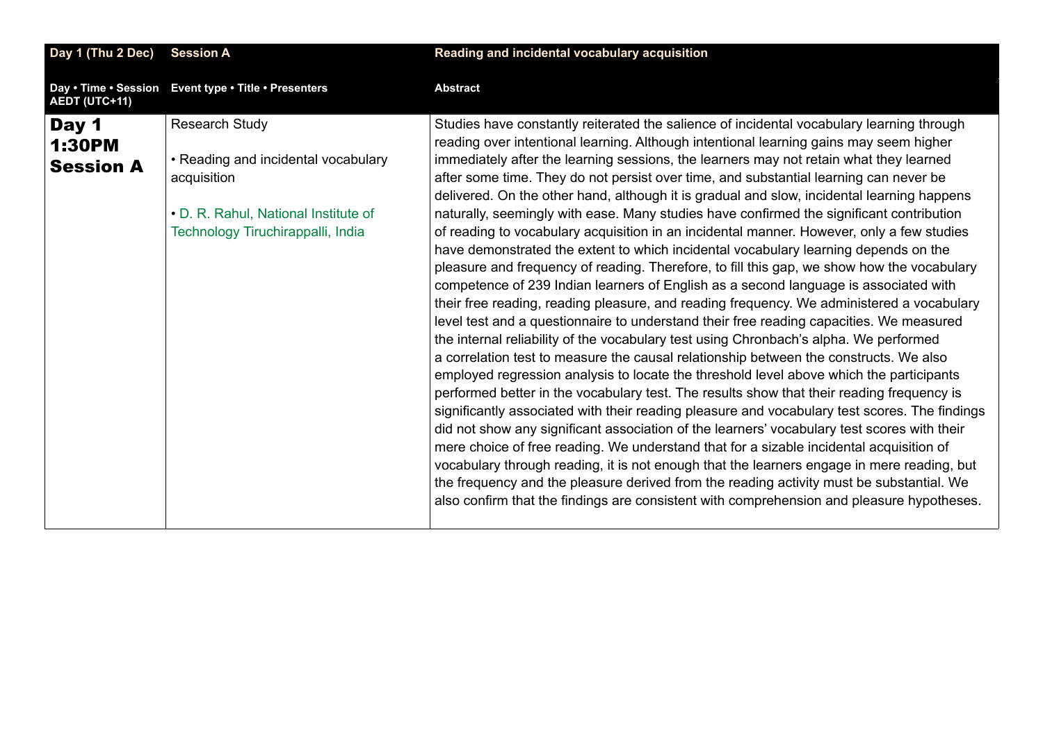<span id="page-9-0"></span>

| Day 1 (Thu 2 Dec)                          | <b>Session A</b>                                                                                                                                         | Reading and incidental vocabulary acquisition                                                                                                                                                                                                                                                                                                                                                                                                                                                                                                                                                                                                                                                                                                                                                                                                                                                                                                                                                                                                                                                                                                                                                                                                                                                                                                                                                                                                                                                                                                                                                                                                                                                                                                                                                                                                                                                                                                                                                                                                                                                  |
|--------------------------------------------|----------------------------------------------------------------------------------------------------------------------------------------------------------|------------------------------------------------------------------------------------------------------------------------------------------------------------------------------------------------------------------------------------------------------------------------------------------------------------------------------------------------------------------------------------------------------------------------------------------------------------------------------------------------------------------------------------------------------------------------------------------------------------------------------------------------------------------------------------------------------------------------------------------------------------------------------------------------------------------------------------------------------------------------------------------------------------------------------------------------------------------------------------------------------------------------------------------------------------------------------------------------------------------------------------------------------------------------------------------------------------------------------------------------------------------------------------------------------------------------------------------------------------------------------------------------------------------------------------------------------------------------------------------------------------------------------------------------------------------------------------------------------------------------------------------------------------------------------------------------------------------------------------------------------------------------------------------------------------------------------------------------------------------------------------------------------------------------------------------------------------------------------------------------------------------------------------------------------------------------------------------------|
| AEDT (UTC+11)                              | Day . Time . Session Event type . Title . Presenters                                                                                                     | <b>Abstract</b>                                                                                                                                                                                                                                                                                                                                                                                                                                                                                                                                                                                                                                                                                                                                                                                                                                                                                                                                                                                                                                                                                                                                                                                                                                                                                                                                                                                                                                                                                                                                                                                                                                                                                                                                                                                                                                                                                                                                                                                                                                                                                |
| Day 1<br><b>1:30PM</b><br><b>Session A</b> | <b>Research Study</b><br>• Reading and incidental vocabulary<br>acquisition<br>• D. R. Rahul, National Institute of<br>Technology Tiruchirappalli, India | Studies have constantly reiterated the salience of incidental vocabulary learning through<br>reading over intentional learning. Although intentional learning gains may seem higher<br>immediately after the learning sessions, the learners may not retain what they learned<br>after some time. They do not persist over time, and substantial learning can never be<br>delivered. On the other hand, although it is gradual and slow, incidental learning happens<br>naturally, seemingly with ease. Many studies have confirmed the significant contribution<br>of reading to vocabulary acquisition in an incidental manner. However, only a few studies<br>have demonstrated the extent to which incidental vocabulary learning depends on the<br>pleasure and frequency of reading. Therefore, to fill this gap, we show how the vocabulary<br>competence of 239 Indian learners of English as a second language is associated with<br>their free reading, reading pleasure, and reading frequency. We administered a vocabulary<br>level test and a questionnaire to understand their free reading capacities. We measured<br>the internal reliability of the vocabulary test using Chronbach's alpha. We performed<br>a correlation test to measure the causal relationship between the constructs. We also<br>employed regression analysis to locate the threshold level above which the participants<br>performed better in the vocabulary test. The results show that their reading frequency is<br>significantly associated with their reading pleasure and vocabulary test scores. The findings<br>did not show any significant association of the learners' vocabulary test scores with their<br>mere choice of free reading. We understand that for a sizable incidental acquisition of<br>vocabulary through reading, it is not enough that the learners engage in mere reading, but<br>the frequency and the pleasure derived from the reading activity must be substantial. We<br>also confirm that the findings are consistent with comprehension and pleasure hypotheses. |
|                                            |                                                                                                                                                          |                                                                                                                                                                                                                                                                                                                                                                                                                                                                                                                                                                                                                                                                                                                                                                                                                                                                                                                                                                                                                                                                                                                                                                                                                                                                                                                                                                                                                                                                                                                                                                                                                                                                                                                                                                                                                                                                                                                                                                                                                                                                                                |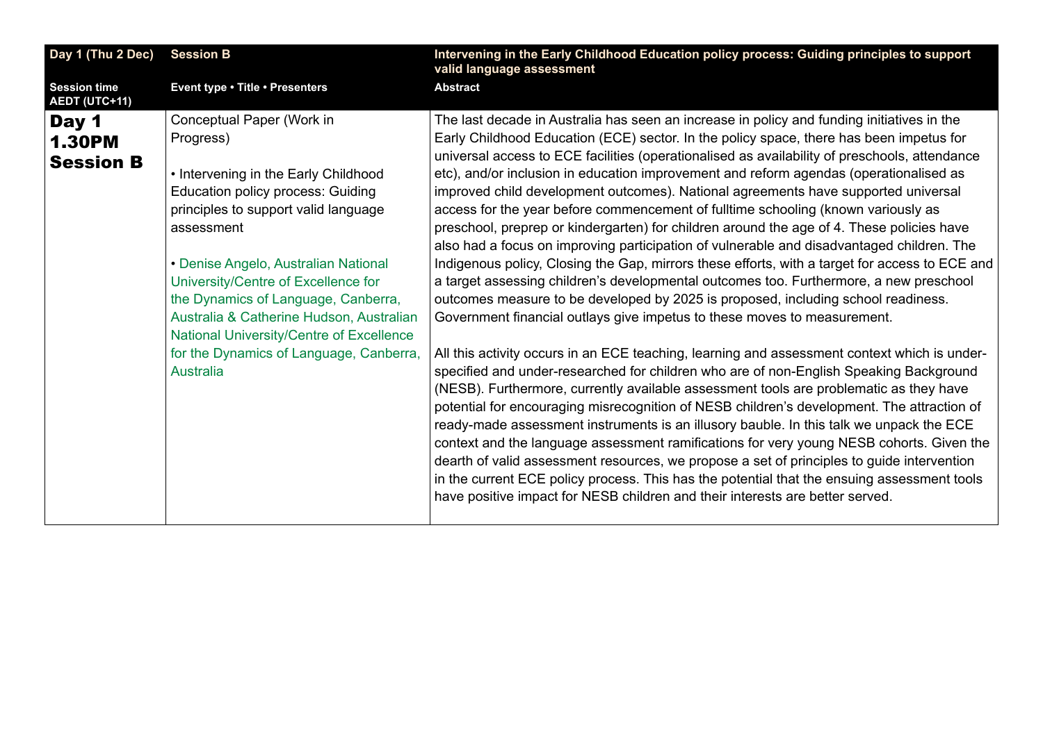<span id="page-10-0"></span>

| Intervening in the Early Childhood Education policy process: Guiding principles to support<br>valid language assessment                                                                                                                                                                                                                                                                                                                                                                                                                                                                                                                                                                                                                                                                                                                                                                                                                                                                                                                                                                                                                                                                                                                                                                                                                                                                                                                                                                                                                                                                                                                                                                                                                                                                                                                                                                                                                                                   |
|---------------------------------------------------------------------------------------------------------------------------------------------------------------------------------------------------------------------------------------------------------------------------------------------------------------------------------------------------------------------------------------------------------------------------------------------------------------------------------------------------------------------------------------------------------------------------------------------------------------------------------------------------------------------------------------------------------------------------------------------------------------------------------------------------------------------------------------------------------------------------------------------------------------------------------------------------------------------------------------------------------------------------------------------------------------------------------------------------------------------------------------------------------------------------------------------------------------------------------------------------------------------------------------------------------------------------------------------------------------------------------------------------------------------------------------------------------------------------------------------------------------------------------------------------------------------------------------------------------------------------------------------------------------------------------------------------------------------------------------------------------------------------------------------------------------------------------------------------------------------------------------------------------------------------------------------------------------------------|
| <b>Abstract</b>                                                                                                                                                                                                                                                                                                                                                                                                                                                                                                                                                                                                                                                                                                                                                                                                                                                                                                                                                                                                                                                                                                                                                                                                                                                                                                                                                                                                                                                                                                                                                                                                                                                                                                                                                                                                                                                                                                                                                           |
| The last decade in Australia has seen an increase in policy and funding initiatives in the<br>Early Childhood Education (ECE) sector. In the policy space, there has been impetus for<br>universal access to ECE facilities (operationalised as availability of preschools, attendance<br>etc), and/or inclusion in education improvement and reform agendas (operationalised as<br>improved child development outcomes). National agreements have supported universal<br>access for the year before commencement of fulltime schooling (known variously as<br>preschool, preprep or kindergarten) for children around the age of 4. These policies have<br>also had a focus on improving participation of vulnerable and disadvantaged children. The<br>Indigenous policy, Closing the Gap, mirrors these efforts, with a target for access to ECE and<br>a target assessing children's developmental outcomes too. Furthermore, a new preschool<br>outcomes measure to be developed by 2025 is proposed, including school readiness.<br>Government financial outlays give impetus to these moves to measurement.<br>All this activity occurs in an ECE teaching, learning and assessment context which is under-<br>specified and under-researched for children who are of non-English Speaking Background<br>(NESB). Furthermore, currently available assessment tools are problematic as they have<br>potential for encouraging misrecognition of NESB children's development. The attraction of<br>ready-made assessment instruments is an illusory bauble. In this talk we unpack the ECE<br>context and the language assessment ramifications for very young NESB cohorts. Given the<br>dearth of valid assessment resources, we propose a set of principles to guide intervention<br>in the current ECE policy process. This has the potential that the ensuing assessment tools<br>have positive impact for NESB children and their interests are better served. |
|                                                                                                                                                                                                                                                                                                                                                                                                                                                                                                                                                                                                                                                                                                                                                                                                                                                                                                                                                                                                                                                                                                                                                                                                                                                                                                                                                                                                                                                                                                                                                                                                                                                                                                                                                                                                                                                                                                                                                                           |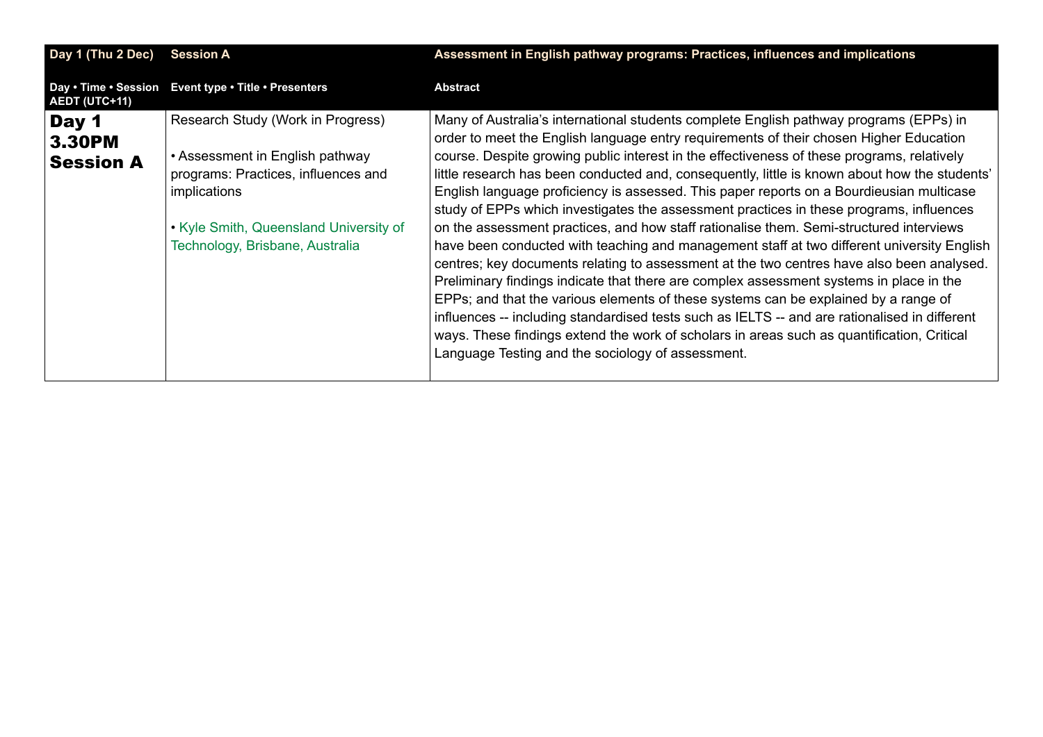<span id="page-11-0"></span>

| Day 1 (Thu 2 Dec)                          | <b>Session A</b>                                                                                                                                                                                         | Assessment in English pathway programs: Practices, influences and implications                                                                                                                                                                                                                                                                                                                                                                                                                                                                                                                                                                                                                                                                                                                                                                                                                                                                                                                                                                                                                                                                                                                                                                                                                     |
|--------------------------------------------|----------------------------------------------------------------------------------------------------------------------------------------------------------------------------------------------------------|----------------------------------------------------------------------------------------------------------------------------------------------------------------------------------------------------------------------------------------------------------------------------------------------------------------------------------------------------------------------------------------------------------------------------------------------------------------------------------------------------------------------------------------------------------------------------------------------------------------------------------------------------------------------------------------------------------------------------------------------------------------------------------------------------------------------------------------------------------------------------------------------------------------------------------------------------------------------------------------------------------------------------------------------------------------------------------------------------------------------------------------------------------------------------------------------------------------------------------------------------------------------------------------------------|
| Day . Time . Session<br>AEDT (UTC+11)      | Event type . Title . Presenters                                                                                                                                                                          | <b>Abstract</b>                                                                                                                                                                                                                                                                                                                                                                                                                                                                                                                                                                                                                                                                                                                                                                                                                                                                                                                                                                                                                                                                                                                                                                                                                                                                                    |
| Day 1<br><b>3.30PM</b><br><b>Session A</b> | Research Study (Work in Progress)<br>• Assessment in English pathway<br>programs: Practices, influences and<br>implications<br>• Kyle Smith, Queensland University of<br>Technology, Brisbane, Australia | Many of Australia's international students complete English pathway programs (EPPs) in<br>order to meet the English language entry requirements of their chosen Higher Education<br>course. Despite growing public interest in the effectiveness of these programs, relatively<br>little research has been conducted and, consequently, little is known about how the students'<br>English language proficiency is assessed. This paper reports on a Bourdieusian multicase<br>study of EPPs which investigates the assessment practices in these programs, influences<br>on the assessment practices, and how staff rationalise them. Semi-structured interviews<br>have been conducted with teaching and management staff at two different university English<br>centres; key documents relating to assessment at the two centres have also been analysed.<br>Preliminary findings indicate that there are complex assessment systems in place in the<br>EPPs; and that the various elements of these systems can be explained by a range of<br>influences -- including standardised tests such as IELTS -- and are rationalised in different<br>ways. These findings extend the work of scholars in areas such as quantification, Critical<br>Language Testing and the sociology of assessment. |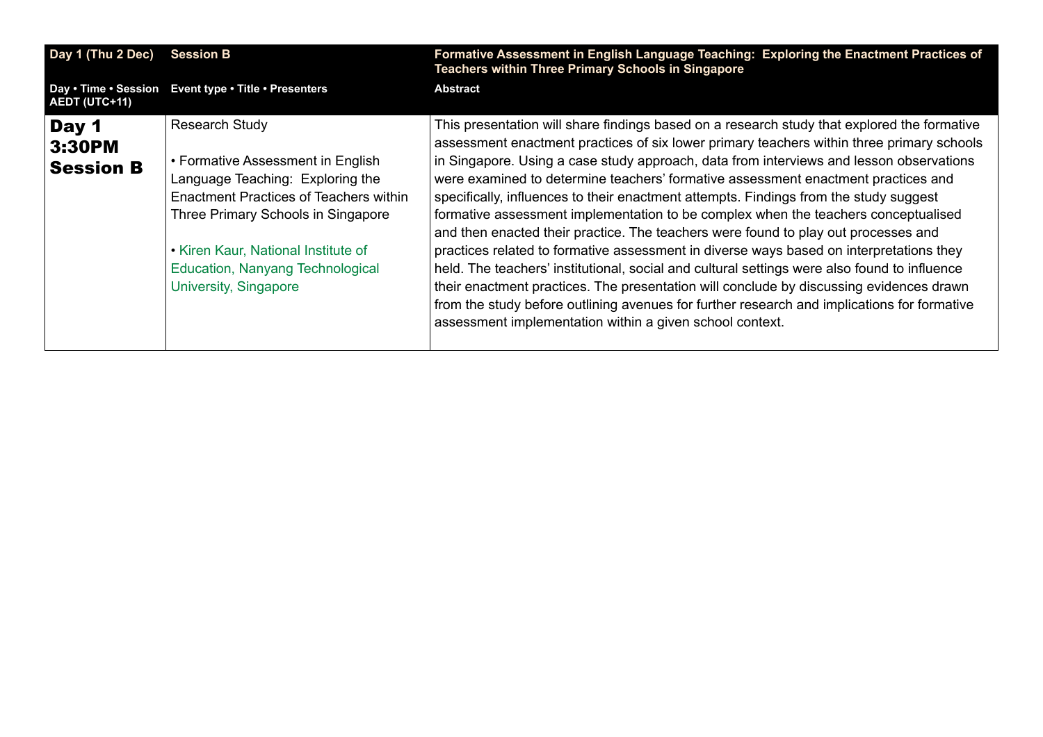<span id="page-12-0"></span>

| Day 1 (Thu 2 Dec)                     | <b>Session B</b>                                                                                                                                                                                                                                                                   | Formative Assessment in English Language Teaching: Exploring the Enactment Practices of<br>Teachers within Three Primary Schools in Singapore                                                                                                                                                                                                                                                                                                                                                                                                                                                                                                                                                                                                                                                                                                                                                                                                                                                                                                                                                  |
|---------------------------------------|------------------------------------------------------------------------------------------------------------------------------------------------------------------------------------------------------------------------------------------------------------------------------------|------------------------------------------------------------------------------------------------------------------------------------------------------------------------------------------------------------------------------------------------------------------------------------------------------------------------------------------------------------------------------------------------------------------------------------------------------------------------------------------------------------------------------------------------------------------------------------------------------------------------------------------------------------------------------------------------------------------------------------------------------------------------------------------------------------------------------------------------------------------------------------------------------------------------------------------------------------------------------------------------------------------------------------------------------------------------------------------------|
| Day . Time . Session<br>AEDT (UTC+11) | Event type . Title . Presenters                                                                                                                                                                                                                                                    | <b>Abstract</b>                                                                                                                                                                                                                                                                                                                                                                                                                                                                                                                                                                                                                                                                                                                                                                                                                                                                                                                                                                                                                                                                                |
| Day 1<br>3:30PM<br><b>Session B</b>   | <b>Research Study</b><br>• Formative Assessment in English<br>Language Teaching: Exploring the<br>Enactment Practices of Teachers within<br>Three Primary Schools in Singapore<br>• Kiren Kaur, National Institute of<br>Education, Nanyang Technological<br>University, Singapore | This presentation will share findings based on a research study that explored the formative<br>assessment enactment practices of six lower primary teachers within three primary schools<br>in Singapore. Using a case study approach, data from interviews and lesson observations<br>were examined to determine teachers' formative assessment enactment practices and<br>specifically, influences to their enactment attempts. Findings from the study suggest<br>formative assessment implementation to be complex when the teachers conceptualised<br>and then enacted their practice. The teachers were found to play out processes and<br>practices related to formative assessment in diverse ways based on interpretations they<br>held. The teachers' institutional, social and cultural settings were also found to influence<br>their enactment practices. The presentation will conclude by discussing evidences drawn<br>from the study before outlining avenues for further research and implications for formative<br>assessment implementation within a given school context. |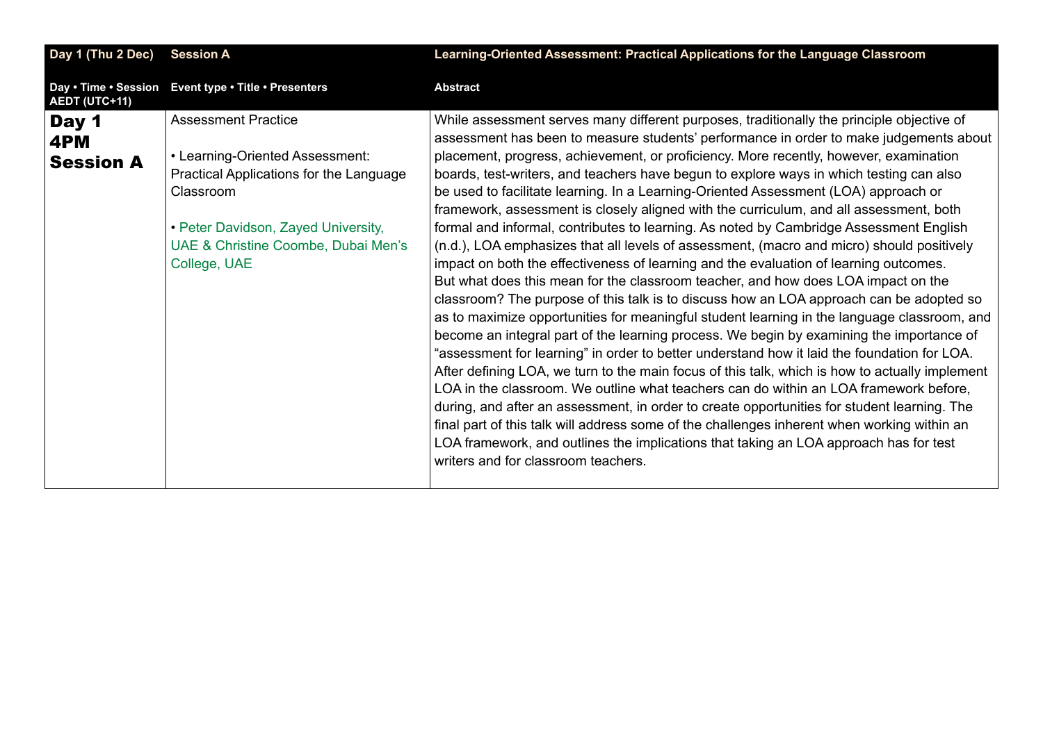<span id="page-13-0"></span>

| Day 1 (Thu 2 Dec)                | <b>Session A</b>                                                                                                                                                                                                    | Learning-Oriented Assessment: Practical Applications for the Language Classroom                                                                                                                                                                                                                                                                                                                                                                                                                                                                                                                                                                                                                                                                                                                                                                                                                                                                                                                                                                                                                                                                                                                                                                                                                                                                                                                                                                                                                                                                                                                                                                                                                                                                                                                                                             |
|----------------------------------|---------------------------------------------------------------------------------------------------------------------------------------------------------------------------------------------------------------------|---------------------------------------------------------------------------------------------------------------------------------------------------------------------------------------------------------------------------------------------------------------------------------------------------------------------------------------------------------------------------------------------------------------------------------------------------------------------------------------------------------------------------------------------------------------------------------------------------------------------------------------------------------------------------------------------------------------------------------------------------------------------------------------------------------------------------------------------------------------------------------------------------------------------------------------------------------------------------------------------------------------------------------------------------------------------------------------------------------------------------------------------------------------------------------------------------------------------------------------------------------------------------------------------------------------------------------------------------------------------------------------------------------------------------------------------------------------------------------------------------------------------------------------------------------------------------------------------------------------------------------------------------------------------------------------------------------------------------------------------------------------------------------------------------------------------------------------------|
| AEDT (UTC+11)                    | Day . Time . Session Event type . Title . Presenters                                                                                                                                                                | <b>Abstract</b>                                                                                                                                                                                                                                                                                                                                                                                                                                                                                                                                                                                                                                                                                                                                                                                                                                                                                                                                                                                                                                                                                                                                                                                                                                                                                                                                                                                                                                                                                                                                                                                                                                                                                                                                                                                                                             |
| Day 1<br>4PM<br><b>Session A</b> | <b>Assessment Practice</b><br>• Learning-Oriented Assessment:<br>Practical Applications for the Language<br>Classroom<br>• Peter Davidson, Zayed University,<br>UAE & Christine Coombe, Dubai Men's<br>College, UAE | While assessment serves many different purposes, traditionally the principle objective of<br>assessment has been to measure students' performance in order to make judgements about<br>placement, progress, achievement, or proficiency. More recently, however, examination<br>boards, test-writers, and teachers have begun to explore ways in which testing can also<br>be used to facilitate learning. In a Learning-Oriented Assessment (LOA) approach or<br>framework, assessment is closely aligned with the curriculum, and all assessment, both<br>formal and informal, contributes to learning. As noted by Cambridge Assessment English<br>(n.d.), LOA emphasizes that all levels of assessment, (macro and micro) should positively<br>impact on both the effectiveness of learning and the evaluation of learning outcomes.<br>But what does this mean for the classroom teacher, and how does LOA impact on the<br>classroom? The purpose of this talk is to discuss how an LOA approach can be adopted so<br>as to maximize opportunities for meaningful student learning in the language classroom, and<br>become an integral part of the learning process. We begin by examining the importance of<br>"assessment for learning" in order to better understand how it laid the foundation for LOA.<br>After defining LOA, we turn to the main focus of this talk, which is how to actually implement<br>LOA in the classroom. We outline what teachers can do within an LOA framework before,<br>during, and after an assessment, in order to create opportunities for student learning. The<br>final part of this talk will address some of the challenges inherent when working within an<br>LOA framework, and outlines the implications that taking an LOA approach has for test<br>writers and for classroom teachers. |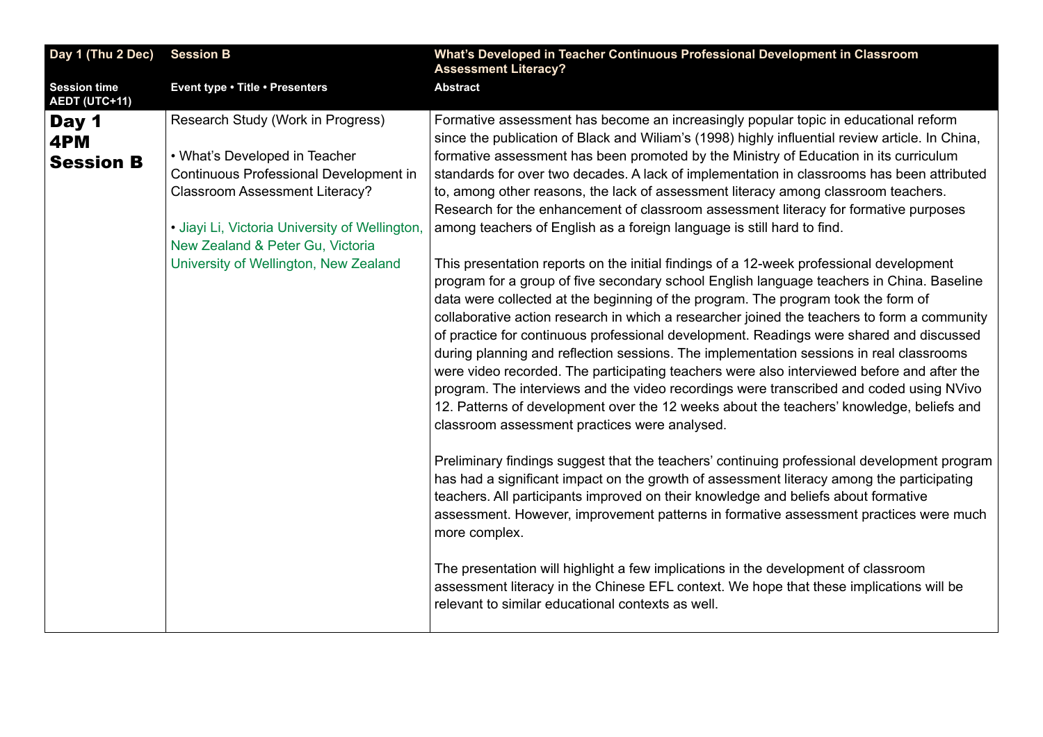<span id="page-14-0"></span>

| Day 1 (Thu 2 Dec)                           | <b>Session B</b>                                                                                                                                                                                       | What's Developed in Teacher Continuous Professional Development in Classroom<br><b>Assessment Literacy?</b>                                                                                                                                                                                                                                                                                                                                                                                                                                                                                                                                                                                                                                                                                                                                                                                          |
|---------------------------------------------|--------------------------------------------------------------------------------------------------------------------------------------------------------------------------------------------------------|------------------------------------------------------------------------------------------------------------------------------------------------------------------------------------------------------------------------------------------------------------------------------------------------------------------------------------------------------------------------------------------------------------------------------------------------------------------------------------------------------------------------------------------------------------------------------------------------------------------------------------------------------------------------------------------------------------------------------------------------------------------------------------------------------------------------------------------------------------------------------------------------------|
| <b>Session time</b><br><b>AEDT (UTC+11)</b> | Event type . Title . Presenters                                                                                                                                                                        | <b>Abstract</b>                                                                                                                                                                                                                                                                                                                                                                                                                                                                                                                                                                                                                                                                                                                                                                                                                                                                                      |
| Day 1<br>4PM                                | Research Study (Work in Progress)                                                                                                                                                                      | Formative assessment has become an increasingly popular topic in educational reform<br>since the publication of Black and Wiliam's (1998) highly influential review article. In China,                                                                                                                                                                                                                                                                                                                                                                                                                                                                                                                                                                                                                                                                                                               |
| <b>Session B</b>                            | • What's Developed in Teacher<br>Continuous Professional Development in<br><b>Classroom Assessment Literacy?</b><br>· Jiayi Li, Victoria University of Wellington,<br>New Zealand & Peter Gu, Victoria | formative assessment has been promoted by the Ministry of Education in its curriculum<br>standards for over two decades. A lack of implementation in classrooms has been attributed<br>to, among other reasons, the lack of assessment literacy among classroom teachers.<br>Research for the enhancement of classroom assessment literacy for formative purposes<br>among teachers of English as a foreign language is still hard to find.                                                                                                                                                                                                                                                                                                                                                                                                                                                          |
|                                             | University of Wellington, New Zealand                                                                                                                                                                  | This presentation reports on the initial findings of a 12-week professional development<br>program for a group of five secondary school English language teachers in China. Baseline<br>data were collected at the beginning of the program. The program took the form of<br>collaborative action research in which a researcher joined the teachers to form a community<br>of practice for continuous professional development. Readings were shared and discussed<br>during planning and reflection sessions. The implementation sessions in real classrooms<br>were video recorded. The participating teachers were also interviewed before and after the<br>program. The interviews and the video recordings were transcribed and coded using NVivo<br>12. Patterns of development over the 12 weeks about the teachers' knowledge, beliefs and<br>classroom assessment practices were analysed. |
|                                             |                                                                                                                                                                                                        | Preliminary findings suggest that the teachers' continuing professional development program<br>has had a significant impact on the growth of assessment literacy among the participating<br>teachers. All participants improved on their knowledge and beliefs about formative<br>assessment. However, improvement patterns in formative assessment practices were much<br>more complex.                                                                                                                                                                                                                                                                                                                                                                                                                                                                                                             |
|                                             |                                                                                                                                                                                                        | The presentation will highlight a few implications in the development of classroom<br>assessment literacy in the Chinese EFL context. We hope that these implications will be<br>relevant to similar educational contexts as well.                                                                                                                                                                                                                                                                                                                                                                                                                                                                                                                                                                                                                                                                   |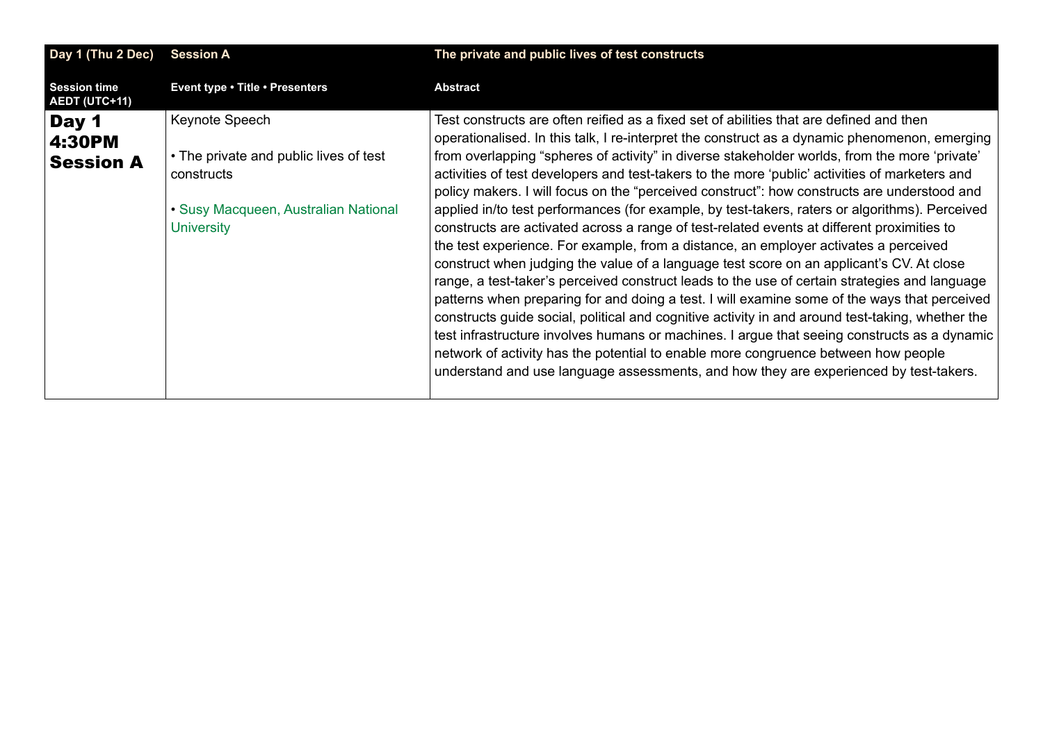<span id="page-15-0"></span>

| Day 1 (Thu 2 Dec)                           | <b>Session A</b>                                                                                                                    | The private and public lives of test constructs                                                                                                                                                                                                                                                                                                                                                                                                                                                                                                                                                                                                                                                                                                                                                                                                                                                                                                                                                                                                                                                                                                                                                                                                                                                                                                                           |
|---------------------------------------------|-------------------------------------------------------------------------------------------------------------------------------------|---------------------------------------------------------------------------------------------------------------------------------------------------------------------------------------------------------------------------------------------------------------------------------------------------------------------------------------------------------------------------------------------------------------------------------------------------------------------------------------------------------------------------------------------------------------------------------------------------------------------------------------------------------------------------------------------------------------------------------------------------------------------------------------------------------------------------------------------------------------------------------------------------------------------------------------------------------------------------------------------------------------------------------------------------------------------------------------------------------------------------------------------------------------------------------------------------------------------------------------------------------------------------------------------------------------------------------------------------------------------------|
| <b>Session time</b><br><b>AEDT (UTC+11)</b> | Event type . Title . Presenters                                                                                                     | <b>Abstract</b>                                                                                                                                                                                                                                                                                                                                                                                                                                                                                                                                                                                                                                                                                                                                                                                                                                                                                                                                                                                                                                                                                                                                                                                                                                                                                                                                                           |
| Day 1<br>4:30PM<br><b>Session A</b>         | Keynote Speech<br>• The private and public lives of test<br>constructs<br>• Susy Macqueen, Australian National<br><b>University</b> | Test constructs are often reified as a fixed set of abilities that are defined and then<br>operationalised. In this talk, I re-interpret the construct as a dynamic phenomenon, emerging<br>from overlapping "spheres of activity" in diverse stakeholder worlds, from the more 'private'<br>activities of test developers and test-takers to the more 'public' activities of marketers and<br>policy makers. I will focus on the "perceived construct": how constructs are understood and<br>applied in/to test performances (for example, by test-takers, raters or algorithms). Perceived<br>constructs are activated across a range of test-related events at different proximities to<br>the test experience. For example, from a distance, an employer activates a perceived<br>construct when judging the value of a language test score on an applicant's CV. At close<br>range, a test-taker's perceived construct leads to the use of certain strategies and language<br>patterns when preparing for and doing a test. I will examine some of the ways that perceived<br>constructs guide social, political and cognitive activity in and around test-taking, whether the<br>test infrastructure involves humans or machines. I argue that seeing constructs as a dynamic<br>network of activity has the potential to enable more congruence between how people |
|                                             |                                                                                                                                     | understand and use language assessments, and how they are experienced by test-takers.                                                                                                                                                                                                                                                                                                                                                                                                                                                                                                                                                                                                                                                                                                                                                                                                                                                                                                                                                                                                                                                                                                                                                                                                                                                                                     |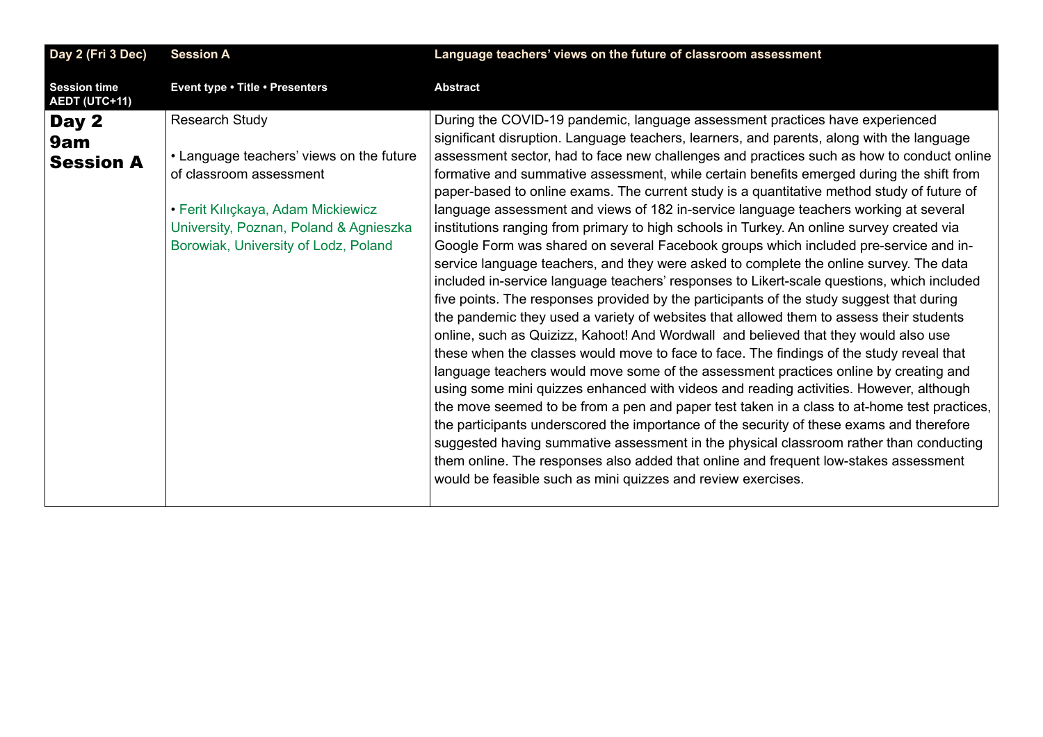<span id="page-16-0"></span>

| Day 2 (Fri 3 Dec)                           | <b>Session A</b>                                                                                                                                                                                              | Language teachers' views on the future of classroom assessment                                                                                                                                                                                                                                                                                                                                                                                                                                                                                                                                                                                                                                                                                                                                                                                                                                                                                                                                                                                                                                                                                                                                                                                                                                                                                                                                                                                                                                                                                                                                                                                                                                                                                                                                                                                                                                                                                 |
|---------------------------------------------|---------------------------------------------------------------------------------------------------------------------------------------------------------------------------------------------------------------|------------------------------------------------------------------------------------------------------------------------------------------------------------------------------------------------------------------------------------------------------------------------------------------------------------------------------------------------------------------------------------------------------------------------------------------------------------------------------------------------------------------------------------------------------------------------------------------------------------------------------------------------------------------------------------------------------------------------------------------------------------------------------------------------------------------------------------------------------------------------------------------------------------------------------------------------------------------------------------------------------------------------------------------------------------------------------------------------------------------------------------------------------------------------------------------------------------------------------------------------------------------------------------------------------------------------------------------------------------------------------------------------------------------------------------------------------------------------------------------------------------------------------------------------------------------------------------------------------------------------------------------------------------------------------------------------------------------------------------------------------------------------------------------------------------------------------------------------------------------------------------------------------------------------------------------------|
| <b>Session time</b><br><b>AEDT (UTC+11)</b> | Event type . Title . Presenters                                                                                                                                                                               | <b>Abstract</b>                                                                                                                                                                                                                                                                                                                                                                                                                                                                                                                                                                                                                                                                                                                                                                                                                                                                                                                                                                                                                                                                                                                                                                                                                                                                                                                                                                                                                                                                                                                                                                                                                                                                                                                                                                                                                                                                                                                                |
| Day 2<br>9am<br><b>Session A</b>            | Research Study<br>• Language teachers' views on the future<br>of classroom assessment<br>• Ferit Kılıçkaya, Adam Mickiewicz<br>University, Poznan, Poland & Agnieszka<br>Borowiak, University of Lodz, Poland | During the COVID-19 pandemic, language assessment practices have experienced<br>significant disruption. Language teachers, learners, and parents, along with the language<br>assessment sector, had to face new challenges and practices such as how to conduct online<br>formative and summative assessment, while certain benefits emerged during the shift from<br>paper-based to online exams. The current study is a quantitative method study of future of<br>language assessment and views of 182 in-service language teachers working at several<br>institutions ranging from primary to high schools in Turkey. An online survey created via<br>Google Form was shared on several Facebook groups which included pre-service and in-<br>service language teachers, and they were asked to complete the online survey. The data<br>included in-service language teachers' responses to Likert-scale questions, which included<br>five points. The responses provided by the participants of the study suggest that during<br>the pandemic they used a variety of websites that allowed them to assess their students<br>online, such as Quizizz, Kahoot! And Wordwall and believed that they would also use<br>these when the classes would move to face to face. The findings of the study reveal that<br>language teachers would move some of the assessment practices online by creating and<br>using some mini quizzes enhanced with videos and reading activities. However, although<br>the move seemed to be from a pen and paper test taken in a class to at-home test practices,<br>the participants underscored the importance of the security of these exams and therefore<br>suggested having summative assessment in the physical classroom rather than conducting<br>them online. The responses also added that online and frequent low-stakes assessment<br>would be feasible such as mini quizzes and review exercises. |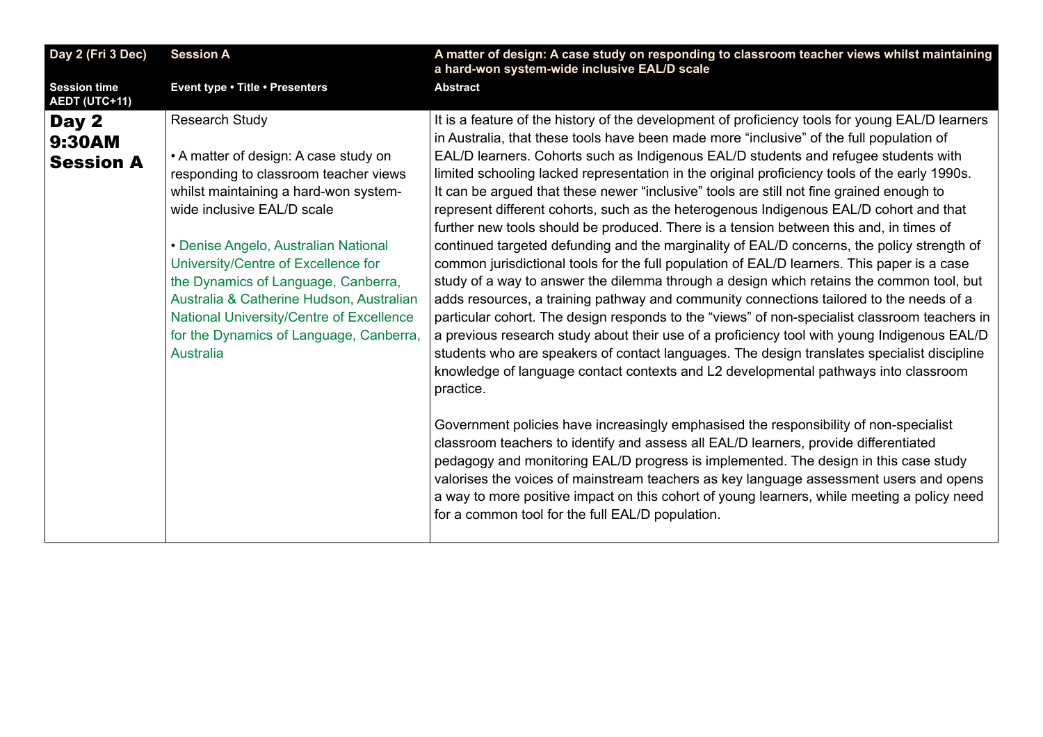<span id="page-17-0"></span>

| Day 2 (Fri 3 Dec)                           | <b>Session A</b>                                                                                                                                                                                                                                                                                                                                                                                                                                            | A matter of design: A case study on responding to classroom teacher views whilst maintaining<br>a hard-won system-wide inclusive EAL/D scale                                                                                                                                                                                                                                                                                                                                                                                                                                                                                                                                                                                                                                                                                                                                                                                                                                                                                                                                                                                                                                                                                                                                                                                                                                                                                                                                                                                                                                                                                                                                                                                                                                                                                                                                                                                                                                     |
|---------------------------------------------|-------------------------------------------------------------------------------------------------------------------------------------------------------------------------------------------------------------------------------------------------------------------------------------------------------------------------------------------------------------------------------------------------------------------------------------------------------------|----------------------------------------------------------------------------------------------------------------------------------------------------------------------------------------------------------------------------------------------------------------------------------------------------------------------------------------------------------------------------------------------------------------------------------------------------------------------------------------------------------------------------------------------------------------------------------------------------------------------------------------------------------------------------------------------------------------------------------------------------------------------------------------------------------------------------------------------------------------------------------------------------------------------------------------------------------------------------------------------------------------------------------------------------------------------------------------------------------------------------------------------------------------------------------------------------------------------------------------------------------------------------------------------------------------------------------------------------------------------------------------------------------------------------------------------------------------------------------------------------------------------------------------------------------------------------------------------------------------------------------------------------------------------------------------------------------------------------------------------------------------------------------------------------------------------------------------------------------------------------------------------------------------------------------------------------------------------------------|
| <b>Session time</b><br><b>AEDT (UTC+11)</b> | Event type . Title . Presenters                                                                                                                                                                                                                                                                                                                                                                                                                             | <b>Abstract</b>                                                                                                                                                                                                                                                                                                                                                                                                                                                                                                                                                                                                                                                                                                                                                                                                                                                                                                                                                                                                                                                                                                                                                                                                                                                                                                                                                                                                                                                                                                                                                                                                                                                                                                                                                                                                                                                                                                                                                                  |
| Day 2<br>9:30AM<br><b>Session A</b>         | <b>Research Study</b><br>• A matter of design: A case study on<br>responding to classroom teacher views<br>whilst maintaining a hard-won system-<br>wide inclusive EAL/D scale<br>• Denise Angelo, Australian National<br>University/Centre of Excellence for<br>the Dynamics of Language, Canberra,<br>Australia & Catherine Hudson, Australian<br>National University/Centre of Excellence<br>for the Dynamics of Language, Canberra,<br><b>Australia</b> | It is a feature of the history of the development of proficiency tools for young EAL/D learners<br>in Australia, that these tools have been made more "inclusive" of the full population of<br>EAL/D learners. Cohorts such as Indigenous EAL/D students and refugee students with<br>limited schooling lacked representation in the original proficiency tools of the early 1990s.<br>It can be argued that these newer "inclusive" tools are still not fine grained enough to<br>represent different cohorts, such as the heterogenous Indigenous EAL/D cohort and that<br>further new tools should be produced. There is a tension between this and, in times of<br>continued targeted defunding and the marginality of EAL/D concerns, the policy strength of<br>common jurisdictional tools for the full population of EAL/D learners. This paper is a case<br>study of a way to answer the dilemma through a design which retains the common tool, but<br>adds resources, a training pathway and community connections tailored to the needs of a<br>particular cohort. The design responds to the "views" of non-specialist classroom teachers in<br>a previous research study about their use of a proficiency tool with young Indigenous EAL/D<br>students who are speakers of contact languages. The design translates specialist discipline<br>knowledge of language contact contexts and L2 developmental pathways into classroom<br>practice.<br>Government policies have increasingly emphasised the responsibility of non-specialist<br>classroom teachers to identify and assess all EAL/D learners, provide differentiated<br>pedagogy and monitoring EAL/D progress is implemented. The design in this case study<br>valorises the voices of mainstream teachers as key language assessment users and opens<br>a way to more positive impact on this cohort of young learners, while meeting a policy need<br>for a common tool for the full EAL/D population. |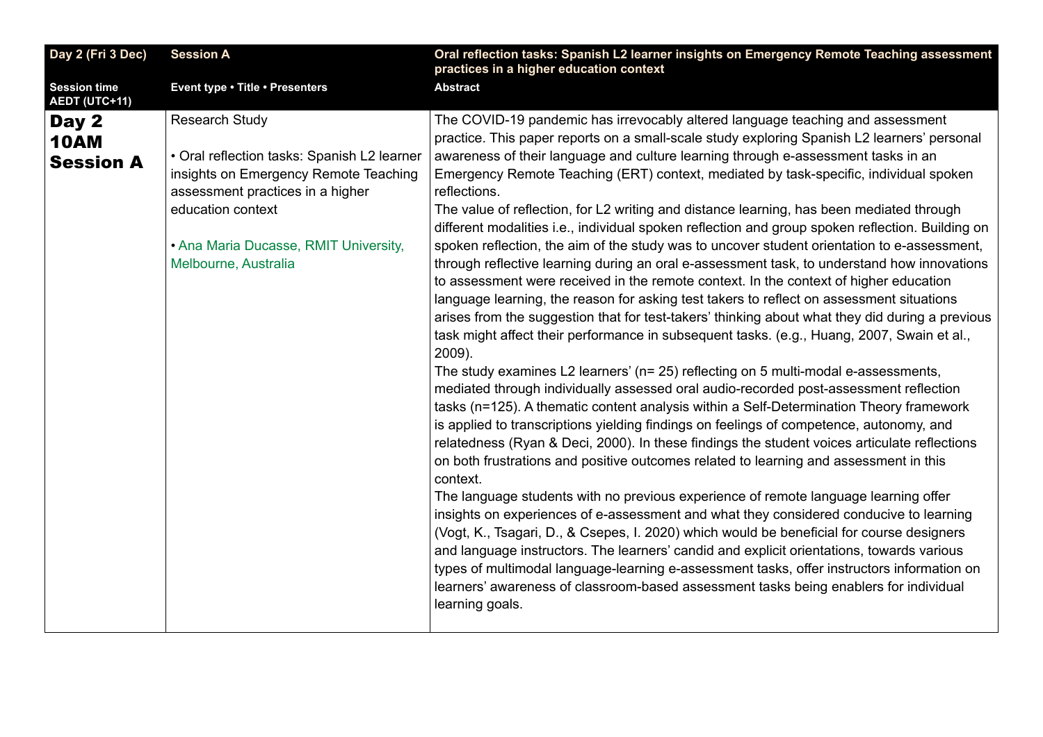<span id="page-18-0"></span>

| Day 2 (Fri 3 Dec)                           | <b>Session A</b>                                                                                                                                                                                                                        | Oral reflection tasks: Spanish L2 learner insights on Emergency Remote Teaching assessment<br>practices in a higher education context                                                                                                                                                                                                                                                                                                                                                                                                                                                                                                                                                                                                                                                                                                                                                                                                                                                                                                                                                                                                                                                                                                                                                                                                                                                                                                                                                                                                                                                                                                                                                                                                                                                                                                                                                                                                                                                                                             |
|---------------------------------------------|-----------------------------------------------------------------------------------------------------------------------------------------------------------------------------------------------------------------------------------------|-----------------------------------------------------------------------------------------------------------------------------------------------------------------------------------------------------------------------------------------------------------------------------------------------------------------------------------------------------------------------------------------------------------------------------------------------------------------------------------------------------------------------------------------------------------------------------------------------------------------------------------------------------------------------------------------------------------------------------------------------------------------------------------------------------------------------------------------------------------------------------------------------------------------------------------------------------------------------------------------------------------------------------------------------------------------------------------------------------------------------------------------------------------------------------------------------------------------------------------------------------------------------------------------------------------------------------------------------------------------------------------------------------------------------------------------------------------------------------------------------------------------------------------------------------------------------------------------------------------------------------------------------------------------------------------------------------------------------------------------------------------------------------------------------------------------------------------------------------------------------------------------------------------------------------------------------------------------------------------------------------------------------------------|
| <b>Session time</b><br><b>AEDT (UTC+11)</b> | Event type . Title . Presenters                                                                                                                                                                                                         | <b>Abstract</b>                                                                                                                                                                                                                                                                                                                                                                                                                                                                                                                                                                                                                                                                                                                                                                                                                                                                                                                                                                                                                                                                                                                                                                                                                                                                                                                                                                                                                                                                                                                                                                                                                                                                                                                                                                                                                                                                                                                                                                                                                   |
| Day 2<br><b>10AM</b><br><b>Session A</b>    | <b>Research Study</b><br>• Oral reflection tasks: Spanish L2 learner<br>insights on Emergency Remote Teaching<br>assessment practices in a higher<br>education context<br>• Ana Maria Ducasse, RMIT University,<br>Melbourne, Australia | The COVID-19 pandemic has irrevocably altered language teaching and assessment<br>practice. This paper reports on a small-scale study exploring Spanish L2 learners' personal<br>awareness of their language and culture learning through e-assessment tasks in an<br>Emergency Remote Teaching (ERT) context, mediated by task-specific, individual spoken<br>reflections.<br>The value of reflection, for L2 writing and distance learning, has been mediated through<br>different modalities i.e., individual spoken reflection and group spoken reflection. Building on<br>spoken reflection, the aim of the study was to uncover student orientation to e-assessment,<br>through reflective learning during an oral e-assessment task, to understand how innovations<br>to assessment were received in the remote context. In the context of higher education<br>language learning, the reason for asking test takers to reflect on assessment situations<br>arises from the suggestion that for test-takers' thinking about what they did during a previous<br>task might affect their performance in subsequent tasks. (e.g., Huang, 2007, Swain et al.,<br>2009).<br>The study examines L2 learners' (n= 25) reflecting on 5 multi-modal e-assessments,<br>mediated through individually assessed oral audio-recorded post-assessment reflection<br>tasks (n=125). A thematic content analysis within a Self-Determination Theory framework<br>is applied to transcriptions yielding findings on feelings of competence, autonomy, and<br>relatedness (Ryan & Deci, 2000). In these findings the student voices articulate reflections<br>on both frustrations and positive outcomes related to learning and assessment in this<br>context.<br>The language students with no previous experience of remote language learning offer<br>insights on experiences of e-assessment and what they considered conducive to learning<br>(Vogt, K., Tsagari, D., & Csepes, I. 2020) which would be beneficial for course designers |
|                                             |                                                                                                                                                                                                                                         | and language instructors. The learners' candid and explicit orientations, towards various<br>types of multimodal language-learning e-assessment tasks, offer instructors information on<br>learners' awareness of classroom-based assessment tasks being enablers for individual<br>learning goals.                                                                                                                                                                                                                                                                                                                                                                                                                                                                                                                                                                                                                                                                                                                                                                                                                                                                                                                                                                                                                                                                                                                                                                                                                                                                                                                                                                                                                                                                                                                                                                                                                                                                                                                               |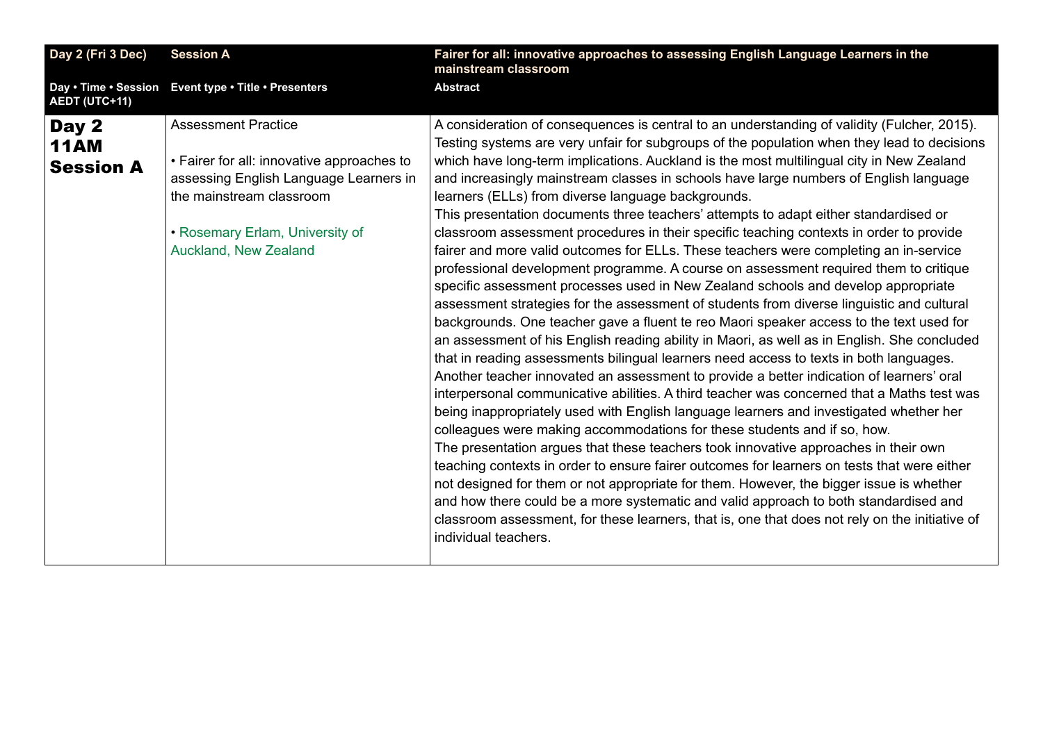<span id="page-19-0"></span>

| Day 2 (Fri 3 Dec)                        | <b>Session A</b>                                                                                                                                                                                           | Fairer for all: innovative approaches to assessing English Language Learners in the<br>mainstream classroom                                                                                                                                                                                                                                                                                                                                                                                                                                                                                                                                                                                                                                                                                                                                                                                                                                                                                                                                                                                                                                                                                                                                                                                                                                                                                                                                                                                                                                                                                                                                                                                                                                                                                                                                                                                                                                                                                                                                                                                                                                        |
|------------------------------------------|------------------------------------------------------------------------------------------------------------------------------------------------------------------------------------------------------------|----------------------------------------------------------------------------------------------------------------------------------------------------------------------------------------------------------------------------------------------------------------------------------------------------------------------------------------------------------------------------------------------------------------------------------------------------------------------------------------------------------------------------------------------------------------------------------------------------------------------------------------------------------------------------------------------------------------------------------------------------------------------------------------------------------------------------------------------------------------------------------------------------------------------------------------------------------------------------------------------------------------------------------------------------------------------------------------------------------------------------------------------------------------------------------------------------------------------------------------------------------------------------------------------------------------------------------------------------------------------------------------------------------------------------------------------------------------------------------------------------------------------------------------------------------------------------------------------------------------------------------------------------------------------------------------------------------------------------------------------------------------------------------------------------------------------------------------------------------------------------------------------------------------------------------------------------------------------------------------------------------------------------------------------------------------------------------------------------------------------------------------------------|
| <b>AEDT (UTC+11)</b>                     | Day . Time . Session Event type . Title . Presenters                                                                                                                                                       | <b>Abstract</b>                                                                                                                                                                                                                                                                                                                                                                                                                                                                                                                                                                                                                                                                                                                                                                                                                                                                                                                                                                                                                                                                                                                                                                                                                                                                                                                                                                                                                                                                                                                                                                                                                                                                                                                                                                                                                                                                                                                                                                                                                                                                                                                                    |
| Day 2<br><b>11AM</b><br><b>Session A</b> | <b>Assessment Practice</b><br>• Fairer for all: innovative approaches to<br>assessing English Language Learners in<br>the mainstream classroom<br>• Rosemary Erlam, University of<br>Auckland, New Zealand | A consideration of consequences is central to an understanding of validity (Fulcher, 2015).<br>Testing systems are very unfair for subgroups of the population when they lead to decisions<br>which have long-term implications. Auckland is the most multilingual city in New Zealand<br>and increasingly mainstream classes in schools have large numbers of English language<br>learners (ELLs) from diverse language backgrounds.<br>This presentation documents three teachers' attempts to adapt either standardised or<br>classroom assessment procedures in their specific teaching contexts in order to provide<br>fairer and more valid outcomes for ELLs. These teachers were completing an in-service<br>professional development programme. A course on assessment required them to critique<br>specific assessment processes used in New Zealand schools and develop appropriate<br>assessment strategies for the assessment of students from diverse linguistic and cultural<br>backgrounds. One teacher gave a fluent te reo Maori speaker access to the text used for<br>an assessment of his English reading ability in Maori, as well as in English. She concluded<br>that in reading assessments bilingual learners need access to texts in both languages.<br>Another teacher innovated an assessment to provide a better indication of learners' oral<br>interpersonal communicative abilities. A third teacher was concerned that a Maths test was<br>being inappropriately used with English language learners and investigated whether her<br>colleagues were making accommodations for these students and if so, how.<br>The presentation argues that these teachers took innovative approaches in their own<br>teaching contexts in order to ensure fairer outcomes for learners on tests that were either<br>not designed for them or not appropriate for them. However, the bigger issue is whether<br>and how there could be a more systematic and valid approach to both standardised and<br>classroom assessment, for these learners, that is, one that does not rely on the initiative of<br>individual teachers. |
|                                          |                                                                                                                                                                                                            |                                                                                                                                                                                                                                                                                                                                                                                                                                                                                                                                                                                                                                                                                                                                                                                                                                                                                                                                                                                                                                                                                                                                                                                                                                                                                                                                                                                                                                                                                                                                                                                                                                                                                                                                                                                                                                                                                                                                                                                                                                                                                                                                                    |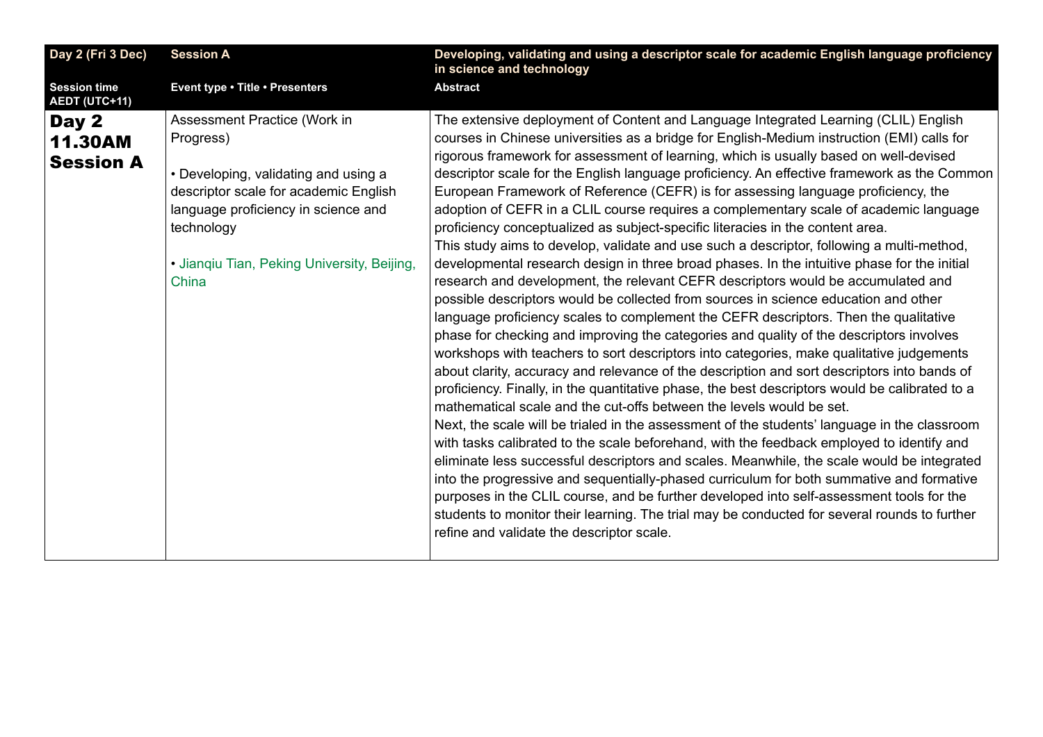<span id="page-20-0"></span>

| Day 2 (Fri 3 Dec)<br><b>Session A</b>                                           |                                                                                                                                                                                                     | Developing, validating and using a descriptor scale for academic English language proficiency<br>in science and technology                                                                                                                                                                                                                                                                                                                                                                                                                                                                                                                                                                                                                                                                                                                                                                                                                                                                                                                                                                                                                                                                                                                                                                                                                                                                                                                                                                                                                                                                                                                                                                                                                                                                                                                                                                                                                                                                                                                                                                                                                                                                               |
|---------------------------------------------------------------------------------|-----------------------------------------------------------------------------------------------------------------------------------------------------------------------------------------------------|----------------------------------------------------------------------------------------------------------------------------------------------------------------------------------------------------------------------------------------------------------------------------------------------------------------------------------------------------------------------------------------------------------------------------------------------------------------------------------------------------------------------------------------------------------------------------------------------------------------------------------------------------------------------------------------------------------------------------------------------------------------------------------------------------------------------------------------------------------------------------------------------------------------------------------------------------------------------------------------------------------------------------------------------------------------------------------------------------------------------------------------------------------------------------------------------------------------------------------------------------------------------------------------------------------------------------------------------------------------------------------------------------------------------------------------------------------------------------------------------------------------------------------------------------------------------------------------------------------------------------------------------------------------------------------------------------------------------------------------------------------------------------------------------------------------------------------------------------------------------------------------------------------------------------------------------------------------------------------------------------------------------------------------------------------------------------------------------------------------------------------------------------------------------------------------------------------|
| <b>Session time</b><br>AEDT (UTC+11)                                            | Event type . Title . Presenters                                                                                                                                                                     | <b>Abstract</b>                                                                                                                                                                                                                                                                                                                                                                                                                                                                                                                                                                                                                                                                                                                                                                                                                                                                                                                                                                                                                                                                                                                                                                                                                                                                                                                                                                                                                                                                                                                                                                                                                                                                                                                                                                                                                                                                                                                                                                                                                                                                                                                                                                                          |
| Day 2<br>Progress)<br><b>11.30AM</b><br><b>Session A</b><br>technology<br>China | Assessment Practice (Work in<br>• Developing, validating and using a<br>descriptor scale for academic English<br>language proficiency in science and<br>· Jianqiu Tian, Peking University, Beijing, | The extensive deployment of Content and Language Integrated Learning (CLIL) English<br>courses in Chinese universities as a bridge for English-Medium instruction (EMI) calls for<br>rigorous framework for assessment of learning, which is usually based on well-devised<br>descriptor scale for the English language proficiency. An effective framework as the Common<br>European Framework of Reference (CEFR) is for assessing language proficiency, the<br>adoption of CEFR in a CLIL course requires a complementary scale of academic language<br>proficiency conceptualized as subject-specific literacies in the content area.<br>This study aims to develop, validate and use such a descriptor, following a multi-method,<br>developmental research design in three broad phases. In the intuitive phase for the initial<br>research and development, the relevant CEFR descriptors would be accumulated and<br>possible descriptors would be collected from sources in science education and other<br>language proficiency scales to complement the CEFR descriptors. Then the qualitative<br>phase for checking and improving the categories and quality of the descriptors involves<br>workshops with teachers to sort descriptors into categories, make qualitative judgements<br>about clarity, accuracy and relevance of the description and sort descriptors into bands of<br>proficiency. Finally, in the quantitative phase, the best descriptors would be calibrated to a<br>mathematical scale and the cut-offs between the levels would be set.<br>Next, the scale will be trialed in the assessment of the students' language in the classroom<br>with tasks calibrated to the scale beforehand, with the feedback employed to identify and<br>eliminate less successful descriptors and scales. Meanwhile, the scale would be integrated<br>into the progressive and sequentially-phased curriculum for both summative and formative<br>purposes in the CLIL course, and be further developed into self-assessment tools for the<br>students to monitor their learning. The trial may be conducted for several rounds to further<br>refine and validate the descriptor scale. |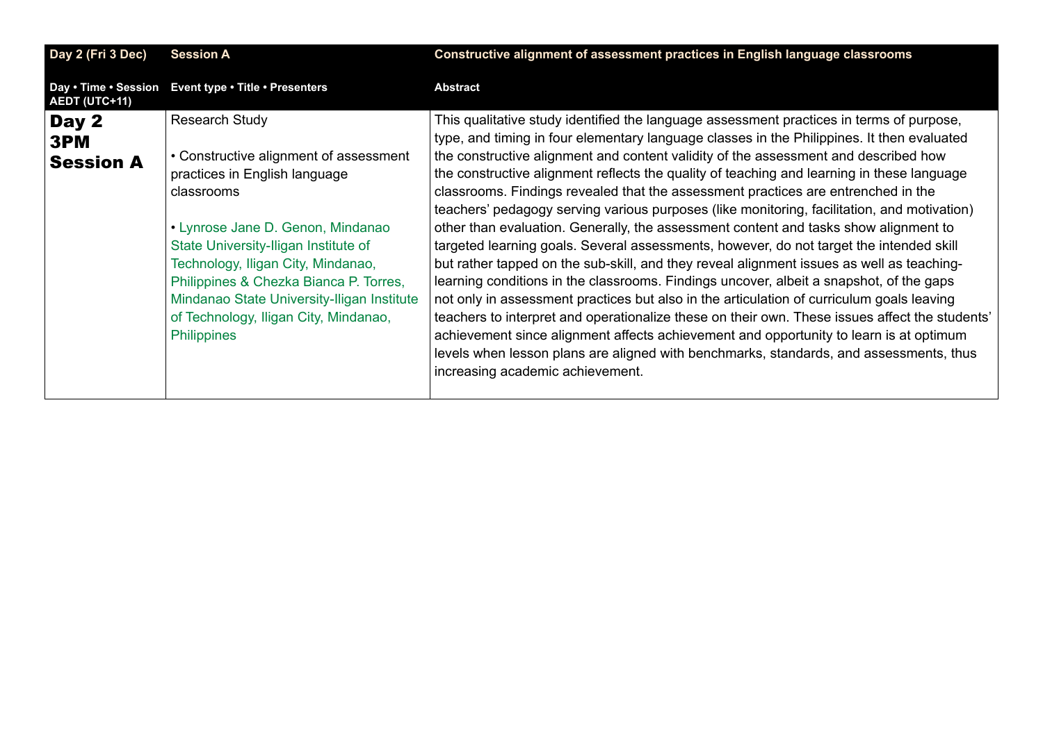<span id="page-21-0"></span>

| Day 2 (Fri 3 Dec)                     | <b>Session A</b>                                                                                                                                                                                                                                                                                                                                                                         | Constructive alignment of assessment practices in English language classrooms                                                                                                                                                                                                                                                                                                                                                                                                                                                                                                                                                                                                                                                                                                                                                                                                                                                                                                                                                                                                                                                                                                                                                                                                                                                                                     |
|---------------------------------------|------------------------------------------------------------------------------------------------------------------------------------------------------------------------------------------------------------------------------------------------------------------------------------------------------------------------------------------------------------------------------------------|-------------------------------------------------------------------------------------------------------------------------------------------------------------------------------------------------------------------------------------------------------------------------------------------------------------------------------------------------------------------------------------------------------------------------------------------------------------------------------------------------------------------------------------------------------------------------------------------------------------------------------------------------------------------------------------------------------------------------------------------------------------------------------------------------------------------------------------------------------------------------------------------------------------------------------------------------------------------------------------------------------------------------------------------------------------------------------------------------------------------------------------------------------------------------------------------------------------------------------------------------------------------------------------------------------------------------------------------------------------------|
| Day . Time . Session<br>AEDT (UTC+11) | Event type . Title . Presenters                                                                                                                                                                                                                                                                                                                                                          | <b>Abstract</b>                                                                                                                                                                                                                                                                                                                                                                                                                                                                                                                                                                                                                                                                                                                                                                                                                                                                                                                                                                                                                                                                                                                                                                                                                                                                                                                                                   |
| Day 2<br>3PM<br><b>Session A</b>      | <b>Research Study</b><br>• Constructive alignment of assessment<br>practices in English language<br>classrooms<br>• Lynrose Jane D. Genon, Mindanao<br>State University-Iligan Institute of<br>Technology, Iligan City, Mindanao,<br>Philippines & Chezka Bianca P. Torres,<br>Mindanao State University-Iligan Institute<br>of Technology, Iligan City, Mindanao,<br><b>Philippines</b> | This qualitative study identified the language assessment practices in terms of purpose,<br>type, and timing in four elementary language classes in the Philippines. It then evaluated<br>the constructive alignment and content validity of the assessment and described how<br>the constructive alignment reflects the quality of teaching and learning in these language<br>classrooms. Findings revealed that the assessment practices are entrenched in the<br>teachers' pedagogy serving various purposes (like monitoring, facilitation, and motivation)<br>other than evaluation. Generally, the assessment content and tasks show alignment to<br>targeted learning goals. Several assessments, however, do not target the intended skill<br>but rather tapped on the sub-skill, and they reveal alignment issues as well as teaching-<br>learning conditions in the classrooms. Findings uncover, albeit a snapshot, of the gaps<br>not only in assessment practices but also in the articulation of curriculum goals leaving<br>teachers to interpret and operationalize these on their own. These issues affect the students'<br>achievement since alignment affects achievement and opportunity to learn is at optimum<br>levels when lesson plans are aligned with benchmarks, standards, and assessments, thus<br>increasing academic achievement. |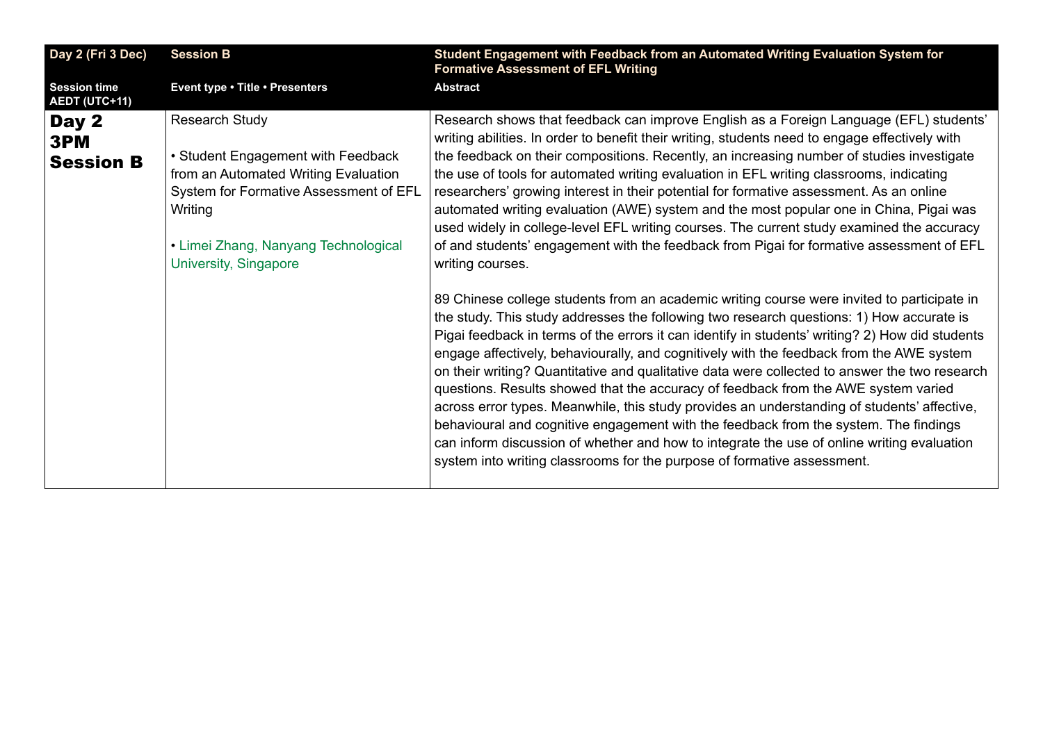<span id="page-22-0"></span>

| Day 2 (Fri 3 Dec)                           | <b>Session B</b>                                                                                                                                                                                                          | Student Engagement with Feedback from an Automated Writing Evaluation System for<br><b>Formative Assessment of EFL Writing</b>                                                                                                                                                                                                                                                                                                                                                                                                                                                                                                                                                                                                                                                                                                                                                                                                                                                                                                                                                                                                                                                                                                                                                                                                                                                                                                                                                                                                                                                                                                                                                                                                     |
|---------------------------------------------|---------------------------------------------------------------------------------------------------------------------------------------------------------------------------------------------------------------------------|------------------------------------------------------------------------------------------------------------------------------------------------------------------------------------------------------------------------------------------------------------------------------------------------------------------------------------------------------------------------------------------------------------------------------------------------------------------------------------------------------------------------------------------------------------------------------------------------------------------------------------------------------------------------------------------------------------------------------------------------------------------------------------------------------------------------------------------------------------------------------------------------------------------------------------------------------------------------------------------------------------------------------------------------------------------------------------------------------------------------------------------------------------------------------------------------------------------------------------------------------------------------------------------------------------------------------------------------------------------------------------------------------------------------------------------------------------------------------------------------------------------------------------------------------------------------------------------------------------------------------------------------------------------------------------------------------------------------------------|
| <b>Session time</b><br><b>AEDT (UTC+11)</b> | Event type . Title . Presenters                                                                                                                                                                                           | <b>Abstract</b>                                                                                                                                                                                                                                                                                                                                                                                                                                                                                                                                                                                                                                                                                                                                                                                                                                                                                                                                                                                                                                                                                                                                                                                                                                                                                                                                                                                                                                                                                                                                                                                                                                                                                                                    |
| Day 2<br>3PM<br><b>Session B</b>            | <b>Research Study</b><br>• Student Engagement with Feedback<br>from an Automated Writing Evaluation<br>System for Formative Assessment of EFL<br>Writing<br>• Limei Zhang, Nanyang Technological<br>University, Singapore | Research shows that feedback can improve English as a Foreign Language (EFL) students'<br>writing abilities. In order to benefit their writing, students need to engage effectively with<br>the feedback on their compositions. Recently, an increasing number of studies investigate<br>the use of tools for automated writing evaluation in EFL writing classrooms, indicating<br>researchers' growing interest in their potential for formative assessment. As an online<br>automated writing evaluation (AWE) system and the most popular one in China, Pigai was<br>used widely in college-level EFL writing courses. The current study examined the accuracy<br>of and students' engagement with the feedback from Pigai for formative assessment of EFL<br>writing courses.<br>89 Chinese college students from an academic writing course were invited to participate in<br>the study. This study addresses the following two research questions: 1) How accurate is<br>Pigai feedback in terms of the errors it can identify in students' writing? 2) How did students<br>engage affectively, behaviourally, and cognitively with the feedback from the AWE system<br>on their writing? Quantitative and qualitative data were collected to answer the two research<br>questions. Results showed that the accuracy of feedback from the AWE system varied<br>across error types. Meanwhile, this study provides an understanding of students' affective,<br>behavioural and cognitive engagement with the feedback from the system. The findings<br>can inform discussion of whether and how to integrate the use of online writing evaluation<br>system into writing classrooms for the purpose of formative assessment. |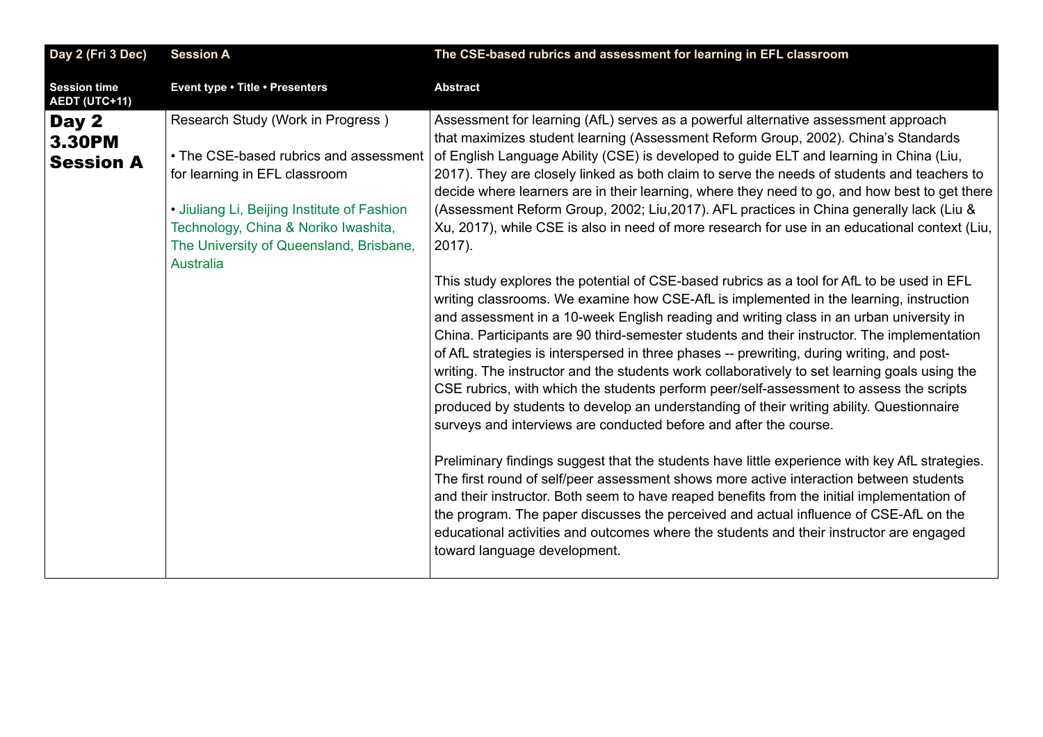<span id="page-23-0"></span>

| Day 2 (Fri 3 Dec)                           | <b>Session A</b>                                                                                                                                                                                                                                                   | The CSE-based rubrics and assessment for learning in EFL classroom                                                                                                                                                                                                                                                                                                                                                                                                                                                                                                                                                                                                                                                                                                                                                                                                                                                                                                                                                                                                                                                                                                                                                                                                                                                                                                                                                                                                                                                                                                                                                                                                                                                                                                                                                   |
|---------------------------------------------|--------------------------------------------------------------------------------------------------------------------------------------------------------------------------------------------------------------------------------------------------------------------|----------------------------------------------------------------------------------------------------------------------------------------------------------------------------------------------------------------------------------------------------------------------------------------------------------------------------------------------------------------------------------------------------------------------------------------------------------------------------------------------------------------------------------------------------------------------------------------------------------------------------------------------------------------------------------------------------------------------------------------------------------------------------------------------------------------------------------------------------------------------------------------------------------------------------------------------------------------------------------------------------------------------------------------------------------------------------------------------------------------------------------------------------------------------------------------------------------------------------------------------------------------------------------------------------------------------------------------------------------------------------------------------------------------------------------------------------------------------------------------------------------------------------------------------------------------------------------------------------------------------------------------------------------------------------------------------------------------------------------------------------------------------------------------------------------------------|
| <b>Session time</b><br><b>AEDT (UTC+11)</b> | Event type . Title . Presenters                                                                                                                                                                                                                                    | <b>Abstract</b>                                                                                                                                                                                                                                                                                                                                                                                                                                                                                                                                                                                                                                                                                                                                                                                                                                                                                                                                                                                                                                                                                                                                                                                                                                                                                                                                                                                                                                                                                                                                                                                                                                                                                                                                                                                                      |
| Day 2<br><b>3.30PM</b><br><b>Session A</b>  | Research Study (Work in Progress)<br>• The CSE-based rubrics and assessment<br>for learning in EFL classroom<br>• Jiuliang Li, Beijing Institute of Fashion<br>Technology, China & Noriko Iwashita,<br>The University of Queensland, Brisbane,<br><b>Australia</b> | Assessment for learning (AfL) serves as a powerful alternative assessment approach<br>that maximizes student learning (Assessment Reform Group, 2002). China's Standards<br>of English Language Ability (CSE) is developed to guide ELT and learning in China (Liu,<br>2017). They are closely linked as both claim to serve the needs of students and teachers to<br>decide where learners are in their learning, where they need to go, and how best to get there<br>(Assessment Reform Group, 2002; Liu, 2017). AFL practices in China generally lack (Liu &<br>Xu, 2017), while CSE is also in need of more research for use in an educational context (Liu,<br>$2017$ ).<br>This study explores the potential of CSE-based rubrics as a tool for AfL to be used in EFL<br>writing classrooms. We examine how CSE-AfL is implemented in the learning, instruction<br>and assessment in a 10-week English reading and writing class in an urban university in<br>China. Participants are 90 third-semester students and their instructor. The implementation<br>of AfL strategies is interspersed in three phases -- prewriting, during writing, and post-<br>writing. The instructor and the students work collaboratively to set learning goals using the<br>CSE rubrics, with which the students perform peer/self-assessment to assess the scripts<br>produced by students to develop an understanding of their writing ability. Questionnaire<br>surveys and interviews are conducted before and after the course.<br>Preliminary findings suggest that the students have little experience with key AfL strategies.<br>The first round of self/peer assessment shows more active interaction between students<br>and their instructor. Both seem to have reaped benefits from the initial implementation of |
|                                             |                                                                                                                                                                                                                                                                    | the program. The paper discusses the perceived and actual influence of CSE-AfL on the<br>educational activities and outcomes where the students and their instructor are engaged<br>toward language development.                                                                                                                                                                                                                                                                                                                                                                                                                                                                                                                                                                                                                                                                                                                                                                                                                                                                                                                                                                                                                                                                                                                                                                                                                                                                                                                                                                                                                                                                                                                                                                                                     |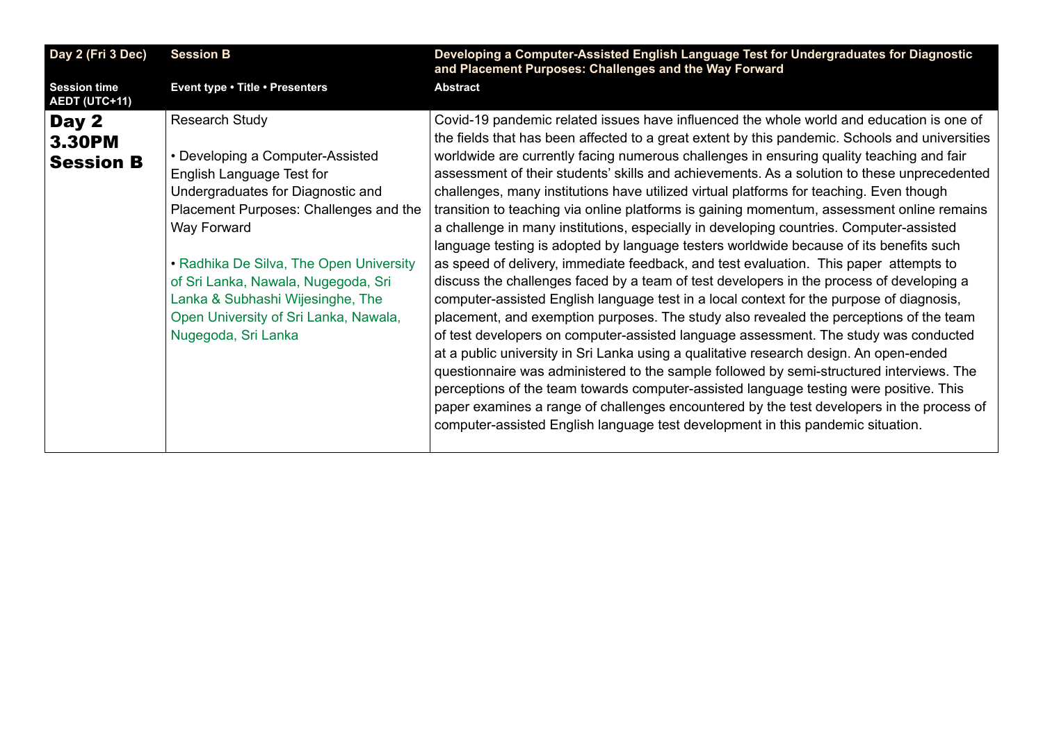<span id="page-24-0"></span>

| Day 2 (Fri 3 Dec)                          | <b>Session B</b>                                                                                                                                                                                                                                                                                                                                                           | Developing a Computer-Assisted English Language Test for Undergraduates for Diagnostic<br>and Placement Purposes: Challenges and the Way Forward                                                                                                                                                                                                                                                                                                                                                                                                                                                                                                                                                                                                                                                                                                                                                                                                                                                                                                                                                                                                                                                                                                                                                                                                                                                                                                                                                                                                                                                                                                                                                       |
|--------------------------------------------|----------------------------------------------------------------------------------------------------------------------------------------------------------------------------------------------------------------------------------------------------------------------------------------------------------------------------------------------------------------------------|--------------------------------------------------------------------------------------------------------------------------------------------------------------------------------------------------------------------------------------------------------------------------------------------------------------------------------------------------------------------------------------------------------------------------------------------------------------------------------------------------------------------------------------------------------------------------------------------------------------------------------------------------------------------------------------------------------------------------------------------------------------------------------------------------------------------------------------------------------------------------------------------------------------------------------------------------------------------------------------------------------------------------------------------------------------------------------------------------------------------------------------------------------------------------------------------------------------------------------------------------------------------------------------------------------------------------------------------------------------------------------------------------------------------------------------------------------------------------------------------------------------------------------------------------------------------------------------------------------------------------------------------------------------------------------------------------------|
| <b>Session time</b><br>AEDT (UTC+11)       | Event type . Title . Presenters                                                                                                                                                                                                                                                                                                                                            | <b>Abstract</b>                                                                                                                                                                                                                                                                                                                                                                                                                                                                                                                                                                                                                                                                                                                                                                                                                                                                                                                                                                                                                                                                                                                                                                                                                                                                                                                                                                                                                                                                                                                                                                                                                                                                                        |
| Day 2<br><b>3.30PM</b><br><b>Session B</b> | <b>Research Study</b><br>• Developing a Computer-Assisted<br>English Language Test for<br>Undergraduates for Diagnostic and<br>Placement Purposes: Challenges and the<br>Way Forward<br>• Radhika De Silva, The Open University<br>of Sri Lanka, Nawala, Nugegoda, Sri<br>Lanka & Subhashi Wijesinghe, The<br>Open University of Sri Lanka, Nawala,<br>Nugegoda, Sri Lanka | Covid-19 pandemic related issues have influenced the whole world and education is one of<br>the fields that has been affected to a great extent by this pandemic. Schools and universities<br>worldwide are currently facing numerous challenges in ensuring quality teaching and fair<br>assessment of their students' skills and achievements. As a solution to these unprecedented<br>challenges, many institutions have utilized virtual platforms for teaching. Even though<br>transition to teaching via online platforms is gaining momentum, assessment online remains<br>a challenge in many institutions, especially in developing countries. Computer-assisted<br>language testing is adopted by language testers worldwide because of its benefits such<br>as speed of delivery, immediate feedback, and test evaluation. This paper attempts to<br>discuss the challenges faced by a team of test developers in the process of developing a<br>computer-assisted English language test in a local context for the purpose of diagnosis,<br>placement, and exemption purposes. The study also revealed the perceptions of the team<br>of test developers on computer-assisted language assessment. The study was conducted<br>at a public university in Sri Lanka using a qualitative research design. An open-ended<br>questionnaire was administered to the sample followed by semi-structured interviews. The<br>perceptions of the team towards computer-assisted language testing were positive. This<br>paper examines a range of challenges encountered by the test developers in the process of<br>computer-assisted English language test development in this pandemic situation. |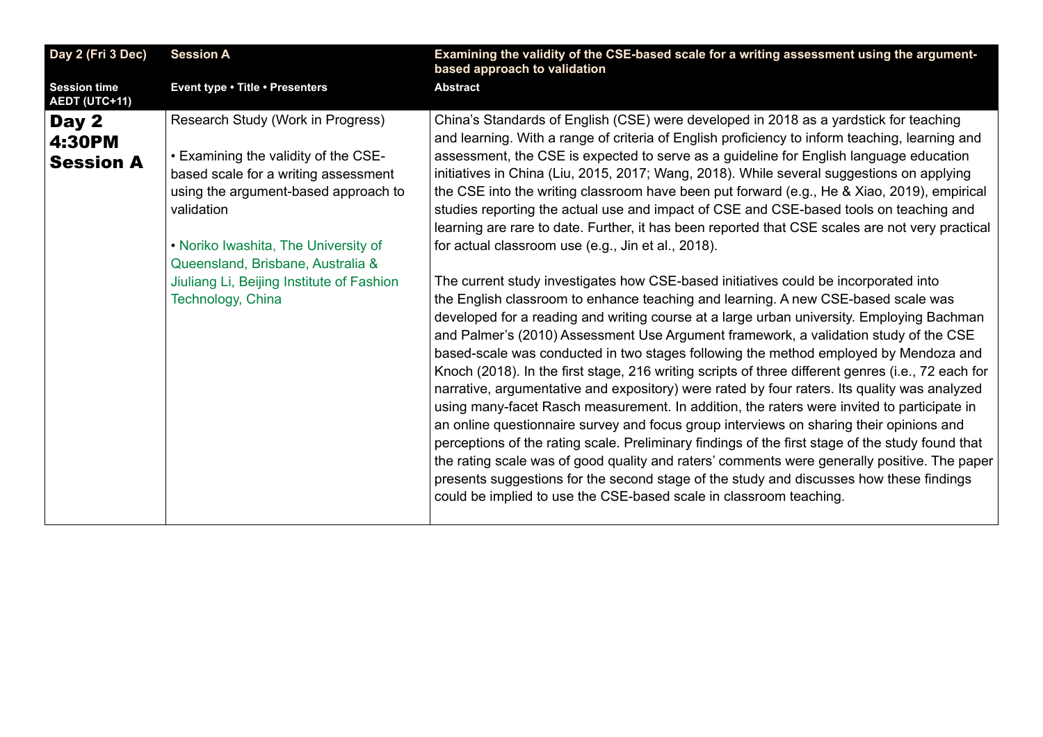<span id="page-25-0"></span>

| <b>Session A</b>                                                                                                                                                                                                                                                                                                       | Examining the validity of the CSE-based scale for a writing assessment using the argument-<br>based approach to validation                                                                                                                                                                                                                                                                                                                                                                                                                                                                                                                                                                                                                                                                                                                                                                                                                                                                                                                                                                                                                                                                                                                                                                                                                                                                                                                                                                                                                                                                                                                                                                                                                                                                                                                                                                                                                                    |
|------------------------------------------------------------------------------------------------------------------------------------------------------------------------------------------------------------------------------------------------------------------------------------------------------------------------|---------------------------------------------------------------------------------------------------------------------------------------------------------------------------------------------------------------------------------------------------------------------------------------------------------------------------------------------------------------------------------------------------------------------------------------------------------------------------------------------------------------------------------------------------------------------------------------------------------------------------------------------------------------------------------------------------------------------------------------------------------------------------------------------------------------------------------------------------------------------------------------------------------------------------------------------------------------------------------------------------------------------------------------------------------------------------------------------------------------------------------------------------------------------------------------------------------------------------------------------------------------------------------------------------------------------------------------------------------------------------------------------------------------------------------------------------------------------------------------------------------------------------------------------------------------------------------------------------------------------------------------------------------------------------------------------------------------------------------------------------------------------------------------------------------------------------------------------------------------------------------------------------------------------------------------------------------------|
| Event type . Title . Presenters                                                                                                                                                                                                                                                                                        | <b>Abstract</b>                                                                                                                                                                                                                                                                                                                                                                                                                                                                                                                                                                                                                                                                                                                                                                                                                                                                                                                                                                                                                                                                                                                                                                                                                                                                                                                                                                                                                                                                                                                                                                                                                                                                                                                                                                                                                                                                                                                                               |
| Research Study (Work in Progress)<br>• Examining the validity of the CSE-<br>based scale for a writing assessment<br>using the argument-based approach to<br>validation<br>• Noriko Iwashita, The University of<br>Queensland, Brisbane, Australia &<br>Jiuliang Li, Beijing Institute of Fashion<br>Technology, China | China's Standards of English (CSE) were developed in 2018 as a yardstick for teaching<br>and learning. With a range of criteria of English proficiency to inform teaching, learning and<br>assessment, the CSE is expected to serve as a guideline for English language education<br>initiatives in China (Liu, 2015, 2017; Wang, 2018). While several suggestions on applying<br>the CSE into the writing classroom have been put forward (e.g., He & Xiao, 2019), empirical<br>studies reporting the actual use and impact of CSE and CSE-based tools on teaching and<br>learning are rare to date. Further, it has been reported that CSE scales are not very practical<br>for actual classroom use (e.g., Jin et al., 2018).<br>The current study investigates how CSE-based initiatives could be incorporated into<br>the English classroom to enhance teaching and learning. A new CSE-based scale was<br>developed for a reading and writing course at a large urban university. Employing Bachman<br>and Palmer's (2010) Assessment Use Argument framework, a validation study of the CSE<br>based-scale was conducted in two stages following the method employed by Mendoza and<br>Knoch (2018). In the first stage, 216 writing scripts of three different genres (i.e., 72 each for<br>narrative, argumentative and expository) were rated by four raters. Its quality was analyzed<br>using many-facet Rasch measurement. In addition, the raters were invited to participate in<br>an online questionnaire survey and focus group interviews on sharing their opinions and<br>perceptions of the rating scale. Preliminary findings of the first stage of the study found that<br>the rating scale was of good quality and raters' comments were generally positive. The paper<br>presents suggestions for the second stage of the study and discusses how these findings<br>could be implied to use the CSE-based scale in classroom teaching. |
|                                                                                                                                                                                                                                                                                                                        |                                                                                                                                                                                                                                                                                                                                                                                                                                                                                                                                                                                                                                                                                                                                                                                                                                                                                                                                                                                                                                                                                                                                                                                                                                                                                                                                                                                                                                                                                                                                                                                                                                                                                                                                                                                                                                                                                                                                                               |